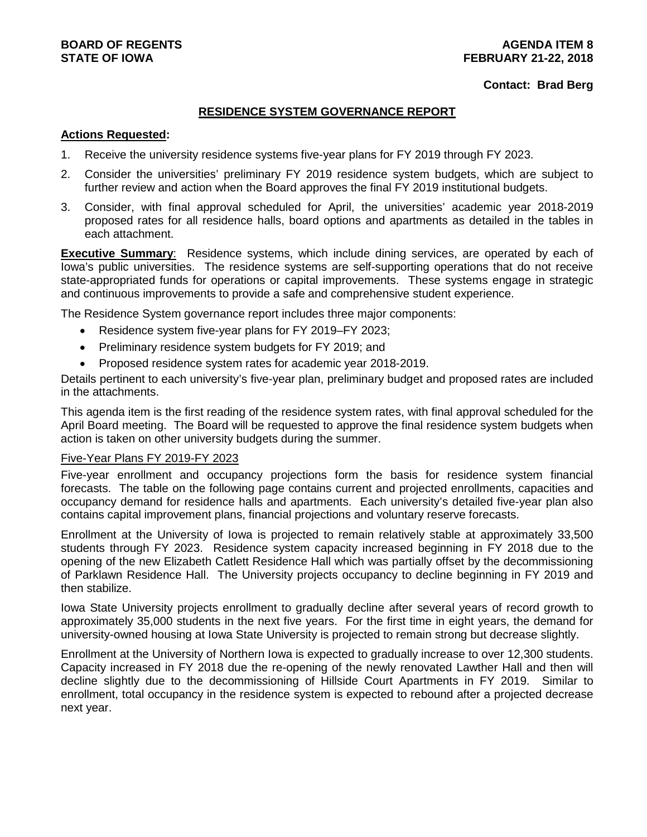#### **Contact: Brad Berg**

#### **RESIDENCE SYSTEM GOVERNANCE REPORT**

#### **Actions Requested:**

- 1. Receive the university residence systems five-year plans for FY 2019 through FY 2023.
- 2. Consider the universities' preliminary FY 2019 residence system budgets, which are subject to further review and action when the Board approves the final FY 2019 institutional budgets.
- 3. Consider, with final approval scheduled for April, the universities' academic year 2018-2019 proposed rates for all residence halls, board options and apartments as detailed in the tables in each attachment.

**Executive Summary**: Residence systems, which include dining services, are operated by each of Iowa's public universities. The residence systems are self-supporting operations that do not receive state-appropriated funds for operations or capital improvements. These systems engage in strategic and continuous improvements to provide a safe and comprehensive student experience.

The Residence System governance report includes three major components:

- Residence system five-year plans for FY 2019–FY 2023;
- Preliminary residence system budgets for FY 2019; and
- Proposed residence system rates for academic year 2018-2019.

Details pertinent to each university's five-year plan, preliminary budget and proposed rates are included in the attachments.

This agenda item is the first reading of the residence system rates, with final approval scheduled for the April Board meeting. The Board will be requested to approve the final residence system budgets when action is taken on other university budgets during the summer.

#### Five-Year Plans FY 2019-FY 2023

Five-year enrollment and occupancy projections form the basis for residence system financial forecasts. The table on the following page contains current and projected enrollments, capacities and occupancy demand for residence halls and apartments. Each university's detailed five-year plan also contains capital improvement plans, financial projections and voluntary reserve forecasts.

Enrollment at the University of Iowa is projected to remain relatively stable at approximately 33,500 students through FY 2023. Residence system capacity increased beginning in FY 2018 due to the opening of the new Elizabeth Catlett Residence Hall which was partially offset by the decommissioning of Parklawn Residence Hall. The University projects occupancy to decline beginning in FY 2019 and then stabilize.

Iowa State University projects enrollment to gradually decline after several years of record growth to approximately 35,000 students in the next five years. For the first time in eight years, the demand for university-owned housing at Iowa State University is projected to remain strong but decrease slightly.

Enrollment at the University of Northern Iowa is expected to gradually increase to over 12,300 students. Capacity increased in FY 2018 due the re-opening of the newly renovated Lawther Hall and then will decline slightly due to the decommissioning of Hillside Court Apartments in FY 2019. Similar to enrollment, total occupancy in the residence system is expected to rebound after a projected decrease next year.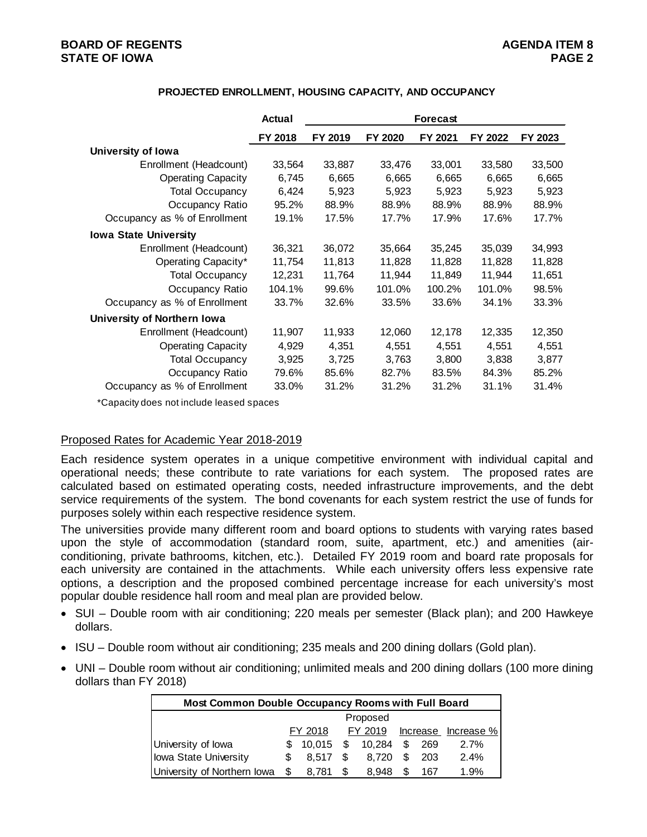## **BOARD OF REGENTS AGENDA ITEM 8 STATE OF IOWA**

#### **PROJECTED ENROLLMENT, HOUSING CAPACITY, AND OCCUPANCY**

|                              | Actual  | Forecast |         |         |         |         |  |  |  |  |
|------------------------------|---------|----------|---------|---------|---------|---------|--|--|--|--|
|                              | FY 2018 | FY 2019  | FY 2020 | FY 2021 | FY 2022 | FY 2023 |  |  |  |  |
| University of Iowa           |         |          |         |         |         |         |  |  |  |  |
| Enrollment (Headcount)       | 33,564  | 33,887   | 33,476  | 33,001  | 33,580  | 33,500  |  |  |  |  |
| <b>Operating Capacity</b>    | 6,745   | 6,665    | 6,665   | 6,665   | 6,665   | 6,665   |  |  |  |  |
| <b>Total Occupancy</b>       | 6,424   | 5,923    | 5,923   | 5,923   | 5,923   | 5,923   |  |  |  |  |
| Occupancy Ratio              | 95.2%   | 88.9%    | 88.9%   | 88.9%   | 88.9%   | 88.9%   |  |  |  |  |
| Occupancy as % of Enrollment | 19.1%   | 17.5%    | 17.7%   | 17.9%   | 17.6%   | 17.7%   |  |  |  |  |
| <b>Iowa State University</b> |         |          |         |         |         |         |  |  |  |  |
| Enrollment (Headcount)       | 36,321  | 36,072   | 35,664  | 35,245  | 35,039  | 34,993  |  |  |  |  |
| Operating Capacity*          | 11,754  | 11,813   | 11,828  | 11,828  | 11,828  | 11,828  |  |  |  |  |
| <b>Total Occupancy</b>       | 12,231  | 11,764   | 11,944  | 11,849  | 11,944  | 11,651  |  |  |  |  |
| Occupancy Ratio              | 104.1%  | 99.6%    | 101.0%  | 100.2%  | 101.0%  | 98.5%   |  |  |  |  |
| Occupancy as % of Enrollment | 33.7%   | 32.6%    | 33.5%   | 33.6%   | 34.1%   | 33.3%   |  |  |  |  |
| University of Northern Iowa  |         |          |         |         |         |         |  |  |  |  |
| Enrollment (Headcount)       | 11,907  | 11,933   | 12,060  | 12,178  | 12,335  | 12,350  |  |  |  |  |
| <b>Operating Capacity</b>    | 4,929   | 4,351    | 4,551   | 4,551   | 4,551   | 4,551   |  |  |  |  |
| <b>Total Occupancy</b>       | 3,925   | 3,725    | 3,763   | 3,800   | 3,838   | 3,877   |  |  |  |  |
| Occupancy Ratio              | 79.6%   | 85.6%    | 82.7%   | 83.5%   | 84.3%   | 85.2%   |  |  |  |  |
| Occupancy as % of Enrollment | 33.0%   | 31.2%    | 31.2%   | 31.2%   | 31.1%   | 31.4%   |  |  |  |  |

\*Capacity does not include leased spaces

#### Proposed Rates for Academic Year 2018-2019

Each residence system operates in a unique competitive environment with individual capital and operational needs; these contribute to rate variations for each system. The proposed rates are calculated based on estimated operating costs, needed infrastructure improvements, and the debt service requirements of the system. The bond covenants for each system restrict the use of funds for purposes solely within each respective residence system.

The universities provide many different room and board options to students with varying rates based upon the style of accommodation (standard room, suite, apartment, etc.) and amenities (airconditioning, private bathrooms, kitchen, etc.). Detailed FY 2019 room and board rate proposals for each university are contained in the attachments. While each university offers less expensive rate options, a description and the proposed combined percentage increase for each university's most popular double residence hall room and meal plan are provided below.

- SUI Double room with air conditioning; 220 meals per semester (Black plan); and 200 Hawkeye dollars.
- ISU Double room without air conditioning; 235 meals and 200 dining dollars (Gold plan).
- UNI Double room without air conditioning; unlimited meals and 200 dining dollars (100 more dining dollars than FY 2018)

|                             | Most Common Double Occupancy Rooms with Full Board |         |   |                            |     |     |                             |  |  |  |  |  |
|-----------------------------|----------------------------------------------------|---------|---|----------------------------|-----|-----|-----------------------------|--|--|--|--|--|
|                             | Proposed                                           |         |   |                            |     |     |                             |  |  |  |  |  |
|                             | FY 2018                                            |         |   |                            |     |     | FY 2019 Increase Increase % |  |  |  |  |  |
| University of lowa          |                                                    |         |   | $$10,015$ \$ 10,284 \$ 269 |     |     | 2.7%                        |  |  |  |  |  |
| Iowa State University       | \$.                                                | 8.517   | S | 8.720                      | - S | 203 | 2.4%                        |  |  |  |  |  |
| University of Northern Iowa |                                                    | \$8,781 |   | 8.948                      |     | 167 | 1.9%                        |  |  |  |  |  |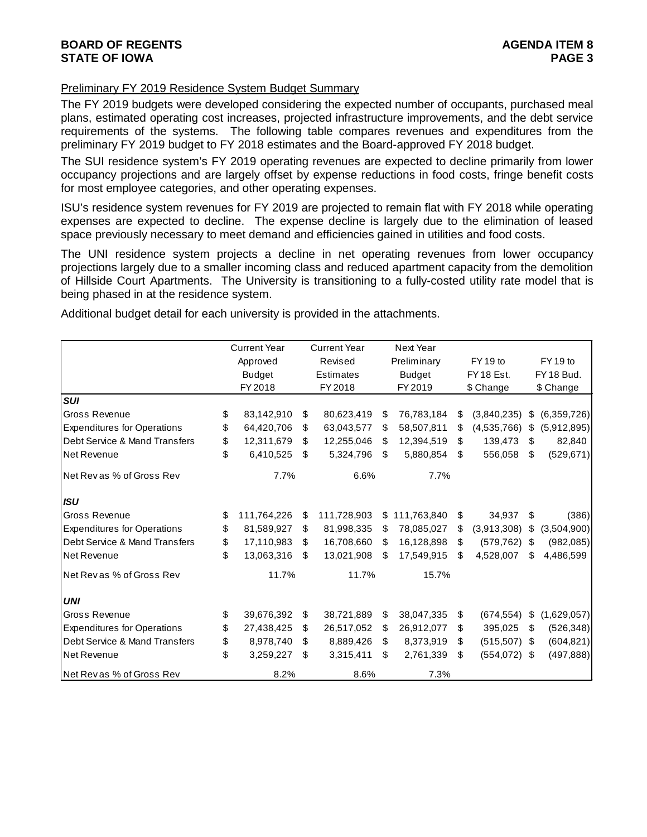#### Preliminary FY 2019 Residence System Budget Summary

The FY 2019 budgets were developed considering the expected number of occupants, purchased meal plans, estimated operating cost increases, projected infrastructure improvements, and the debt service requirements of the systems. The following table compares revenues and expenditures from the preliminary FY 2019 budget to FY 2018 estimates and the Board-approved FY 2018 budget.

The SUI residence system's FY 2019 operating revenues are expected to decline primarily from lower occupancy projections and are largely offset by expense reductions in food costs, fringe benefit costs for most employee categories, and other operating expenses.

ISU's residence system revenues for FY 2019 are projected to remain flat with FY 2018 while operating expenses are expected to decline. The expense decline is largely due to the elimination of leased space previously necessary to meet demand and efficiencies gained in utilities and food costs.

The UNI residence system projects a decline in net operating revenues from lower occupancy projections largely due to a smaller incoming class and reduced apartment capacity from the demolition of Hillside Court Apartments. The University is transitioning to a fully-costed utility rate model that is being phased in at the residence system.

Additional budget detail for each university is provided in the attachments.

|                                    | <b>Current Year</b> | <b>Current Year</b> |             | Next Year |               |    |                 |                   |
|------------------------------------|---------------------|---------------------|-------------|-----------|---------------|----|-----------------|-------------------|
|                                    | Approved            |                     | Revised     |           | Preliminary   |    | FY 19 to        | FY 19 to          |
|                                    | <b>Budget</b>       |                     | Estimates   |           | <b>Budget</b> |    | FY 18 Est.      | FY 18 Bud.        |
|                                    | FY 2018             |                     | FY 2018     |           | FY 2019       |    | \$ Change       | \$ Change         |
| <b>SUI</b>                         |                     |                     |             |           |               |    |                 |                   |
| <b>Gross Revenue</b>               | \$<br>83,142,910    | \$                  | 80,623,419  | \$        | 76,783,184    | \$ | (3,840,235)     | \$<br>(6,359,726) |
| <b>Expenditures for Operations</b> | \$<br>64,420,706    | \$                  | 63,043,577  | \$        | 58,507,811    | \$ | (4,535,766)     | \$<br>(5,912,895) |
| Debt Service & Mand Transfers      | \$<br>12,311,679    | \$                  | 12,255,046  | \$        | 12,394,519    | \$ | 139,473         | \$<br>82,840      |
| <b>Net Revenue</b>                 | \$<br>6,410,525     | \$.                 | 5,324,796   | \$        | 5,880,854     | \$ | 556,058         | \$<br>(529, 671)  |
| Net Rev as % of Gross Rev          | 7.7%                |                     | 6.6%        |           | 7.7%          |    |                 |                   |
| <b>ISU</b>                         |                     |                     |             |           |               |    |                 |                   |
| Gross Revenue                      | \$<br>111,764,226   | \$                  | 111,728,903 | \$        | 111,763,840   | \$ | 34,937          | \$<br>(386)       |
| <b>Expenditures for Operations</b> | \$<br>81,589,927    | \$                  | 81,998,335  | S         | 78,085,027    | \$ | (3,913,308)     | \$<br>(3,504,900) |
| Debt Service & Mand Transfers      | \$<br>17,110,983    | \$                  | 16,708,660  | \$        | 16,128,898    | \$ | (579, 762)      | \$<br>(982, 085)  |
| <b>Net Revenue</b>                 | \$<br>13,063,316    | \$.                 | 13,021,908  | \$        | 17,549,915    | \$ | 4,528,007       | \$<br>4,486,599   |
| Net Revas % of Gross Rev           | 11.7%               |                     | 11.7%       |           | 15.7%         |    |                 |                   |
| <b>UNI</b>                         |                     |                     |             |           |               |    |                 |                   |
| Gross Revenue                      | \$<br>39,676,392    | \$                  | 38,721,889  | \$        | 38,047,335    | \$ | (674, 554)      | \$<br>(1,629,057) |
| <b>Expenditures for Operations</b> | \$<br>27,438,425    | \$                  | 26,517,052  | \$        | 26,912,077    | \$ | 395,025         | \$<br>(526, 348)  |
| Debt Service & Mand Transfers      | \$<br>8,978,740     | \$                  | 8,889,426   | \$        | 8,373,919     | \$ | $(515,507)$ \$  | (604, 821)        |
| <b>Net Revenue</b>                 | \$<br>3,259,227     | \$                  | 3,315,411   | \$        | 2,761,339     | \$ | $(554, 072)$ \$ | (497, 888)        |
| Net Revas % of Gross Rev           | 8.2%                |                     | 8.6%        |           | 7.3%          |    |                 |                   |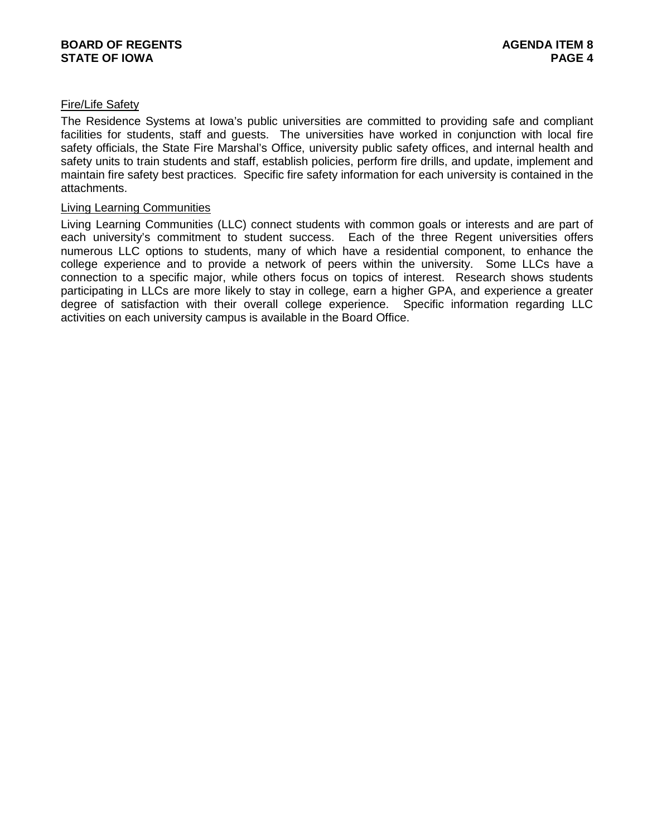#### Fire/Life Safety

The Residence Systems at Iowa's public universities are committed to providing safe and compliant facilities for students, staff and guests. The universities have worked in conjunction with local fire safety officials, the State Fire Marshal's Office, university public safety offices, and internal health and safety units to train students and staff, establish policies, perform fire drills, and update, implement and maintain fire safety best practices. Specific fire safety information for each university is contained in the attachments.

#### Living Learning Communities

Living Learning Communities (LLC) connect students with common goals or interests and are part of each university's commitment to student success. Each of the three Regent universities offers numerous LLC options to students, many of which have a residential component, to enhance the college experience and to provide a network of peers within the university. Some LLCs have a connection to a specific major, while others focus on topics of interest. Research shows students participating in LLCs are more likely to stay in college, earn a higher GPA, and experience a greater degree of satisfaction with their overall college experience. Specific information regarding LLC activities on each university campus is available in the Board Office.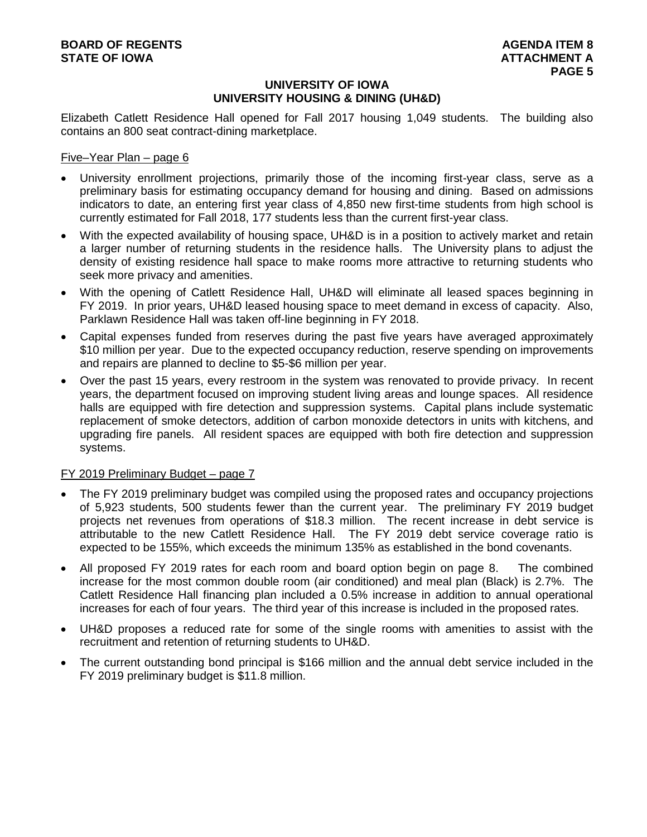# **UNIVERSITY OF IOWA UNIVERSITY HOUSING & DINING (UH&D)**

Elizabeth Catlett Residence Hall opened for Fall 2017 housing 1,049 students. The building also contains an 800 seat contract-dining marketplace.

#### Five–Year Plan – page 6

- University enrollment projections, primarily those of the incoming first-year class, serve as a preliminary basis for estimating occupancy demand for housing and dining. Based on admissions indicators to date, an entering first year class of 4,850 new first-time students from high school is currently estimated for Fall 2018, 177 students less than the current first-year class.
- With the expected availability of housing space, UH&D is in a position to actively market and retain a larger number of returning students in the residence halls. The University plans to adjust the density of existing residence hall space to make rooms more attractive to returning students who seek more privacy and amenities.
- With the opening of Catlett Residence Hall, UH&D will eliminate all leased spaces beginning in FY 2019. In prior years, UH&D leased housing space to meet demand in excess of capacity. Also, Parklawn Residence Hall was taken off-line beginning in FY 2018.
- Capital expenses funded from reserves during the past five years have averaged approximately \$10 million per year. Due to the expected occupancy reduction, reserve spending on improvements and repairs are planned to decline to \$5-\$6 million per year.
- Over the past 15 years, every restroom in the system was renovated to provide privacy. In recent years, the department focused on improving student living areas and lounge spaces. All residence halls are equipped with fire detection and suppression systems. Capital plans include systematic replacement of smoke detectors, addition of carbon monoxide detectors in units with kitchens, and upgrading fire panels. All resident spaces are equipped with both fire detection and suppression systems.

# FY 2019 Preliminary Budget – page 7

- The FY 2019 preliminary budget was compiled using the proposed rates and occupancy projections of 5,923 students, 500 students fewer than the current year. The preliminary FY 2019 budget projects net revenues from operations of \$18.3 million. The recent increase in debt service is attributable to the new Catlett Residence Hall. The FY 2019 debt service coverage ratio is expected to be 155%, which exceeds the minimum 135% as established in the bond covenants.
- All proposed FY 2019 rates for each room and board option begin on page 8. The combined increase for the most common double room (air conditioned) and meal plan (Black) is 2.7%. The Catlett Residence Hall financing plan included a 0.5% increase in addition to annual operational increases for each of four years. The third year of this increase is included in the proposed rates.
- UH&D proposes a reduced rate for some of the single rooms with amenities to assist with the recruitment and retention of returning students to UH&D.
- The current outstanding bond principal is \$166 million and the annual debt service included in the FY 2019 preliminary budget is \$11.8 million.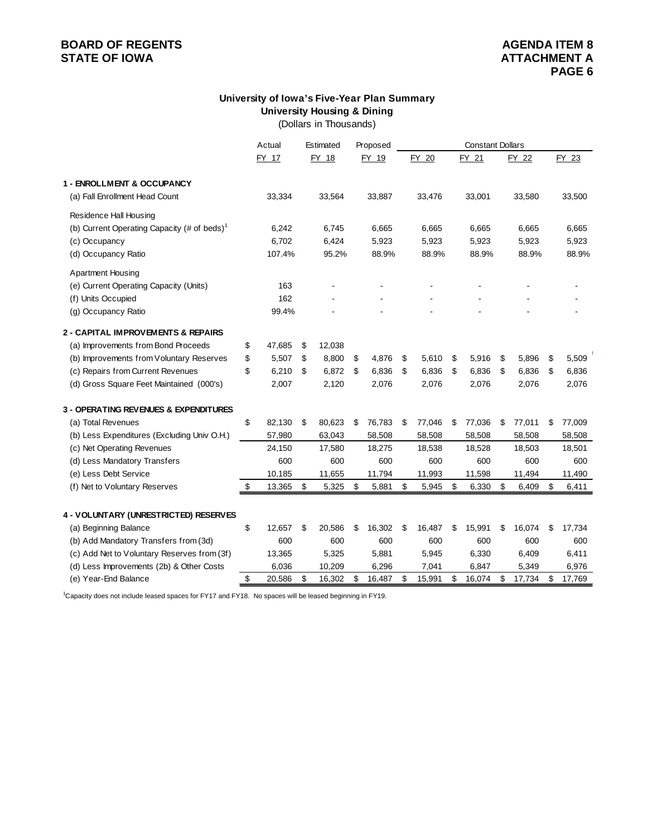# **BOARD OF REGENTS**<br> **BOARD OF REGENTS**<br> **BOARD OF IOWA**<br> **ATTACHMENT A STATE OF IOWA**

# **University of Iowa's Five-Year Plan Summary University Housing & Dining**

(Dollars in Thousands)

|                                                         | Actual       | Estimated    | Proposed     | <b>Constant Dollars</b> |    |        |    |        |    |        |
|---------------------------------------------------------|--------------|--------------|--------------|-------------------------|----|--------|----|--------|----|--------|
|                                                         | FY 17        | FY 18        | FY 19        | FY 20                   |    | FY 21  |    | FY 22  |    | FY 23  |
|                                                         |              |              |              |                         |    |        |    |        |    |        |
| 1 - ENROLLMENT & OCCUPANCY                              |              |              |              |                         |    |        |    |        |    |        |
| (a) Fall Enrollment Head Count                          | 33,334       | 33,564       | 33,887       | 33,476                  |    | 33,001 |    | 33,580 |    | 33,500 |
| Residence Hall Housing                                  |              |              |              |                         |    |        |    |        |    |        |
| (b) Current Operating Capacity (# of beds) <sup>1</sup> | 6,242        | 6,745        | 6,665        | 6,665                   |    | 6,665  |    | 6,665  |    | 6,665  |
| (c) Occupancy                                           | 6,702        | 6,424        | 5,923        | 5,923                   |    | 5,923  |    | 5,923  |    | 5,923  |
| (d) Occupancy Ratio                                     | 107.4%       | 95.2%        | 88.9%        | 88.9%                   |    | 88.9%  |    | 88.9%  |    | 88.9%  |
| <b>Apartment Housing</b>                                |              |              |              |                         |    |        |    |        |    |        |
| (e) Current Operating Capacity (Units)                  | 163          |              |              |                         |    |        |    |        |    |        |
| (f) Units Occupied                                      | 162          |              |              |                         |    |        |    |        |    |        |
| (g) Occupancy Ratio                                     | 99.4%        |              |              |                         |    |        |    |        |    |        |
| <b>2 - CAPITAL IMPROVEMENTS &amp; REPAIRS</b>           |              |              |              |                         |    |        |    |        |    |        |
| (a) Improvements from Bond Proceeds                     | \$<br>47,685 | \$<br>12,038 |              |                         |    |        |    |        |    |        |
| (b) Improvements from Voluntary Reserves                | \$<br>5,507  | \$<br>8,800  | \$<br>4,876  | \$<br>5,610             | \$ | 5,916  | \$ | 5,896  | \$ | 5,509  |
| (c) Repairs from Current Revenues                       | \$<br>6,210  | \$<br>6,872  | \$<br>6,836  | \$<br>6,836             | \$ | 6,836  | \$ | 6,836  | \$ | 6,836  |
| (d) Gross Square Feet Maintained (000's)                | 2,007        | 2,120        | 2,076        | 2,076                   |    | 2,076  |    | 2,076  |    | 2,076  |
|                                                         |              |              |              |                         |    |        |    |        |    |        |
| 3 - OPERATING REVENUES & EXPENDITURES                   |              |              |              |                         |    |        |    |        |    |        |
| (a) Total Revenues                                      | \$<br>82,130 | \$<br>80,623 | \$<br>76,783 | \$<br>77,046            | \$ | 77,036 | \$ | 77,011 | \$ | 77,009 |
| (b) Less Expenditures (Excluding Univ O.H.)             | 57,980       | 63,043       | 58,508       | 58,508                  |    | 58,508 |    | 58,508 |    | 58,508 |
| (c) Net Operating Revenues                              | 24,150       | 17,580       | 18,275       | 18,538                  |    | 18,528 |    | 18,503 |    | 18,501 |
| (d) Less Mandatory Transfers                            | 600          | 600          | 600          | 600                     |    | 600    |    | 600    |    | 600    |
| (e) Less Debt Service                                   | 10,185       | 11,655       | 11,794       | 11,993                  |    | 11,598 |    | 11,494 |    | 11,490 |
| (f) Net to Voluntary Reserves                           | \$<br>13,365 | \$<br>5,325  | \$<br>5,881  | \$<br>5,945             | \$ | 6,330  | \$ | 6,409  | \$ | 6,411  |
|                                                         |              |              |              |                         |    |        |    |        |    |        |
| 4 - VOLUNTARY (UNRESTRICTED) RESERVES                   |              |              |              |                         |    |        |    |        |    |        |
| (a) Beginning Balance                                   | \$<br>12,657 | \$<br>20,586 | \$<br>16,302 | \$<br>16,487            | \$ | 15,991 | \$ | 16,074 | \$ | 17,734 |
| (b) Add Mandatory Transfers from (3d)                   | 600          | 600          | 600          | 600                     |    | 600    |    | 600    |    | 600    |
| (c) Add Net to Voluntary Reserves from (3f)             | 13,365       | 5,325        | 5,881        | 5,945                   |    | 6,330  |    | 6,409  |    | 6,411  |
| (d) Less Improvements (2b) & Other Costs                | 6,036        | 10,209       | 6,296        | 7,041                   |    | 6,847  |    | 5,349  |    | 6,976  |
| (e) Year-End Balance                                    | \$<br>20,586 | \$<br>16,302 | \$<br>16,487 | \$<br>15,991            | \$ | 16,074 | \$ | 17,734 | \$ | 17,769 |

1 Capacity does not include leased spaces for FY17 and FY18. No spaces will be leased beginning in FY19.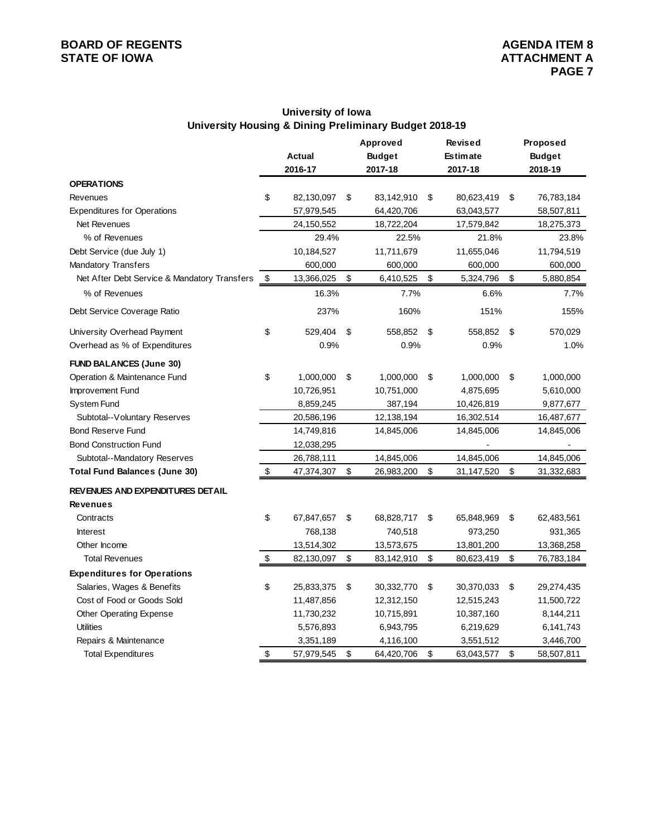# **BOARD OF REGENTS**<br> **BOARD OF REGENTS**<br> **BOARD OF IOWA**<br> **ATTACHMENT A STATE OF IOWA**

# **University of Iowa University Housing & Dining Preliminary Budget 2018-19**

|                                              |                  | Approved         | <b>Revised</b>   | Proposed         |
|----------------------------------------------|------------------|------------------|------------------|------------------|
|                                              | <b>Actual</b>    | <b>Budget</b>    | <b>Estimate</b>  | <b>Budget</b>    |
|                                              | 2016-17          | 2017-18          | 2017-18          | 2018-19          |
| <b>OPERATIONS</b>                            |                  |                  |                  |                  |
| Revenues                                     | \$<br>82,130,097 | \$<br>83,142,910 | \$<br>80,623,419 | \$<br>76,783,184 |
| <b>Expenditures for Operations</b>           | 57,979,545       | 64,420,706       | 63,043,577       | 58,507,811       |
| Net Revenues                                 | 24,150,552       | 18,722,204       | 17,579,842       | 18,275,373       |
| % of Revenues                                | 29.4%            | 22.5%            | 21.8%            | 23.8%            |
| Debt Service (due July 1)                    | 10,184,527       | 11,711,679       | 11,655,046       | 11,794,519       |
| Mandatory Transfers                          | 600,000          | 600,000          | 600,000          | 600,000          |
| Net After Debt Service & Mandatory Transfers | \$<br>13,366,025 | \$<br>6,410,525  | \$<br>5,324,796  | \$<br>5,880,854  |
| % of Revenues                                | 16.3%            | 7.7%             | 6.6%             | 7.7%             |
| Debt Service Coverage Ratio                  | 237%             | 160%             | 151%             | 155%             |
| University Overhead Payment                  | \$<br>529,404    | \$<br>558,852    | \$<br>558,852    | \$<br>570,029    |
| Overhead as % of Expenditures                | 0.9%             | 0.9%             | 0.9%             | 1.0%             |
| <b>FUND BALANCES (June 30)</b>               |                  |                  |                  |                  |
| Operation & Maintenance Fund                 | \$<br>1,000,000  | \$<br>1,000,000  | \$<br>1,000,000  | \$<br>1,000,000  |
| Improvement Fund                             | 10,726,951       | 10,751,000       | 4,875,695        | 5,610,000        |
| System Fund                                  | 8,859,245        | 387,194          | 10,426,819       | 9,877,677        |
| Subtotal--Voluntary Reserves                 | 20,586,196       | 12,138,194       | 16,302,514       | 16,487,677       |
| <b>Bond Reserve Fund</b>                     | 14,749,816       | 14,845,006       | 14,845,006       | 14,845,006       |
| <b>Bond Construction Fund</b>                | 12,038,295       |                  |                  |                  |
| Subtotal--Mandatory Reserves                 | 26,788,111       | 14,845,006       | 14,845,006       | 14,845,006       |
| <b>Total Fund Balances (June 30)</b>         | \$<br>47,374,307 | \$<br>26,983,200 | \$<br>31,147,520 | \$<br>31,332,683 |
| REVENUES AND EXPENDITURES DETAIL             |                  |                  |                  |                  |
| <b>Revenues</b>                              |                  |                  |                  |                  |
| Contracts                                    | \$<br>67,847,657 | \$<br>68,828,717 | \$<br>65,848,969 | \$<br>62,483,561 |
| <b>Interest</b>                              | 768,138          | 740,518          | 973,250          | 931,365          |
| Other Income                                 | 13,514,302       | 13,573,675       | 13,801,200       | 13,368,258       |
| <b>Total Revenues</b>                        | \$<br>82,130,097 | \$<br>83,142,910 | \$<br>80,623,419 | \$<br>76,783,184 |
| <b>Expenditures for Operations</b>           |                  |                  |                  |                  |
| Salaries, Wages & Benefits                   | \$<br>25,833,375 | \$<br>30,332,770 | \$<br>30,370,033 | \$<br>29,274,435 |
| Cost of Food or Goods Sold                   | 11,487,856       | 12,312,150       | 12,515,243       | 11,500,722       |
| <b>Other Operating Expense</b>               | 11,730,232       | 10,715,891       | 10,387,160       | 8,144,211        |
| <b>Utilities</b>                             | 5,576,893        | 6,943,795        | 6,219,629        | 6,141,743        |
| Repairs & Maintenance                        | 3,351,189        | 4,116,100        | 3,551,512        | 3,446,700        |
| <b>Total Expenditures</b>                    | \$<br>57,979,545 | \$<br>64,420,706 | \$<br>63,043,577 | \$<br>58,507,811 |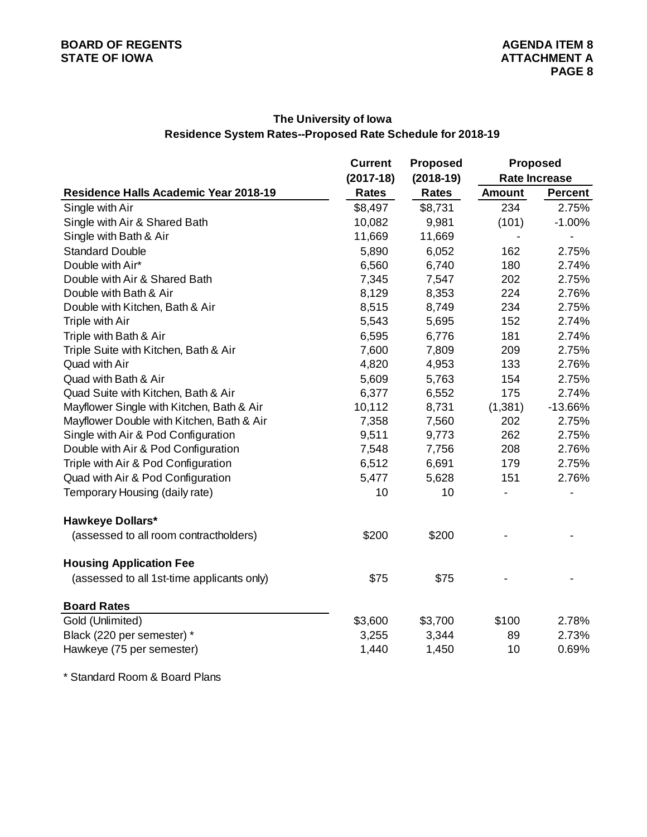# **The University of Iowa Residence System Rates--Proposed Rate Schedule for 2018-19**

|                                            | <b>Current</b> | <b>Proposed</b> |               | <b>Proposed</b>      |
|--------------------------------------------|----------------|-----------------|---------------|----------------------|
|                                            | $(2017-18)$    | $(2018-19)$     |               | <b>Rate Increase</b> |
| Residence Halls Academic Year 2018-19      | <b>Rates</b>   | <b>Rates</b>    | <b>Amount</b> | <b>Percent</b>       |
| Single with Air                            | \$8,497        | \$8,731         | 234           | 2.75%                |
| Single with Air & Shared Bath              | 10,082         | 9,981           | (101)         | $-1.00%$             |
| Single with Bath & Air                     | 11,669         | 11,669          |               |                      |
| <b>Standard Double</b>                     | 5,890          | 6,052           | 162           | 2.75%                |
| Double with Air*                           | 6,560          | 6,740           | 180           | 2.74%                |
| Double with Air & Shared Bath              | 7,345          | 7,547           | 202           | 2.75%                |
| Double with Bath & Air                     | 8,129          | 8,353           | 224           | 2.76%                |
| Double with Kitchen, Bath & Air            | 8,515          | 8,749           | 234           | 2.75%                |
| Triple with Air                            | 5,543          | 5,695           | 152           | 2.74%                |
| Triple with Bath & Air                     | 6,595          | 6,776           | 181           | 2.74%                |
| Triple Suite with Kitchen, Bath & Air      | 7,600          | 7,809           | 209           | 2.75%                |
| Quad with Air                              | 4,820          | 4,953           | 133           | 2.76%                |
| Quad with Bath & Air                       | 5,609          | 5,763           | 154           | 2.75%                |
| Quad Suite with Kitchen, Bath & Air        | 6,377          | 6,552           | 175           | 2.74%                |
| Mayflower Single with Kitchen, Bath & Air  | 10,112         | 8,731           | (1, 381)      | $-13.66%$            |
| Mayflower Double with Kitchen, Bath & Air  | 7,358          | 7,560           | 202           | 2.75%                |
| Single with Air & Pod Configuration        | 9,511          | 9,773           | 262           | 2.75%                |
| Double with Air & Pod Configuration        | 7,548          | 7,756           | 208           | 2.76%                |
| Triple with Air & Pod Configuration        | 6,512          | 6,691           | 179           | 2.75%                |
| Quad with Air & Pod Configuration          | 5,477          | 5,628           | 151           | 2.76%                |
| Temporary Housing (daily rate)             | 10             | 10              |               |                      |
| <b>Hawkeye Dollars*</b>                    |                |                 |               |                      |
| (assessed to all room contractholders)     | \$200          | \$200           |               |                      |
| <b>Housing Application Fee</b>             |                |                 |               |                      |
| (assessed to all 1st-time applicants only) | \$75           | \$75            |               |                      |
| <b>Board Rates</b>                         |                |                 |               |                      |
| Gold (Unlimited)                           | \$3,600        | \$3,700         | \$100         | 2.78%                |
| Black (220 per semester) *                 | 3,255          | 3,344           | 89            | 2.73%                |
| Hawkeye (75 per semester)                  | 1,440          | 1,450           | 10            | 0.69%                |
|                                            |                |                 |               |                      |

\* Standard Room & Board Plans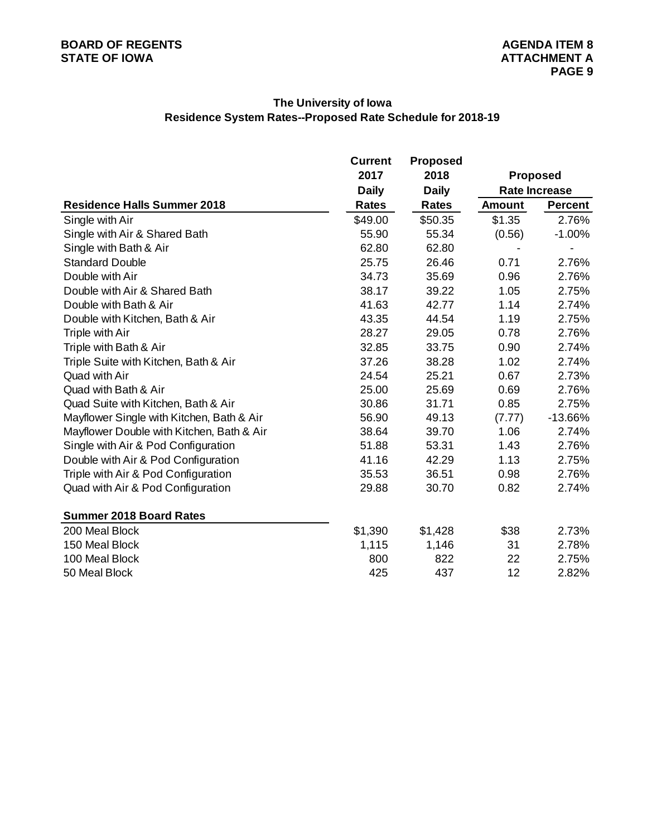# **The University of Iowa Residence System Rates--Proposed Rate Schedule for 2018-19**

|                                           | Current      | <b>Proposed</b> |               |                      |
|-------------------------------------------|--------------|-----------------|---------------|----------------------|
|                                           | 2017         | 2018            |               | <b>Proposed</b>      |
|                                           | <b>Daily</b> | <b>Daily</b>    |               | <b>Rate Increase</b> |
| <b>Residence Halls Summer 2018</b>        | <b>Rates</b> | <b>Rates</b>    | <b>Amount</b> | <b>Percent</b>       |
| Single with Air                           | \$49.00      | \$50.35         | \$1.35        | 2.76%                |
| Single with Air & Shared Bath             | 55.90        | 55.34           | (0.56)        | $-1.00%$             |
| Single with Bath & Air                    | 62.80        | 62.80           |               |                      |
| <b>Standard Double</b>                    | 25.75        | 26.46           | 0.71          | 2.76%                |
| Double with Air                           | 34.73        | 35.69           | 0.96          | 2.76%                |
| Double with Air & Shared Bath             | 38.17        | 39.22           | 1.05          | 2.75%                |
| Double with Bath & Air                    | 41.63        | 42.77           | 1.14          | 2.74%                |
| Double with Kitchen, Bath & Air           | 43.35        | 44.54           | 1.19          | 2.75%                |
| Triple with Air                           | 28.27        | 29.05           | 0.78          | 2.76%                |
| Triple with Bath & Air                    | 32.85        | 33.75           | 0.90          | 2.74%                |
| Triple Suite with Kitchen, Bath & Air     | 37.26        | 38.28           | 1.02          | 2.74%                |
| Quad with Air                             | 24.54        | 25.21           | 0.67          | 2.73%                |
| Quad with Bath & Air                      | 25.00        | 25.69           | 0.69          | 2.76%                |
| Quad Suite with Kitchen, Bath & Air       | 30.86        | 31.71           | 0.85          | 2.75%                |
| Mayflower Single with Kitchen, Bath & Air | 56.90        | 49.13           | (7.77)        | $-13.66%$            |
| Mayflower Double with Kitchen, Bath & Air | 38.64        | 39.70           | 1.06          | 2.74%                |
| Single with Air & Pod Configuration       | 51.88        | 53.31           | 1.43          | 2.76%                |
| Double with Air & Pod Configuration       | 41.16        | 42.29           | 1.13          | 2.75%                |
| Triple with Air & Pod Configuration       | 35.53        | 36.51           | 0.98          | 2.76%                |
| Quad with Air & Pod Configuration         | 29.88        | 30.70           | 0.82          | 2.74%                |
| <b>Summer 2018 Board Rates</b>            |              |                 |               |                      |
| 200 Meal Block                            | \$1,390      | \$1,428         | \$38          | 2.73%                |
| 150 Meal Block                            | 1,115        | 1,146           | 31            | 2.78%                |
| 100 Meal Block                            | 800          | 822             | 22            | 2.75%                |
| 50 Meal Block                             | 425          | 437             | 12            | 2.82%                |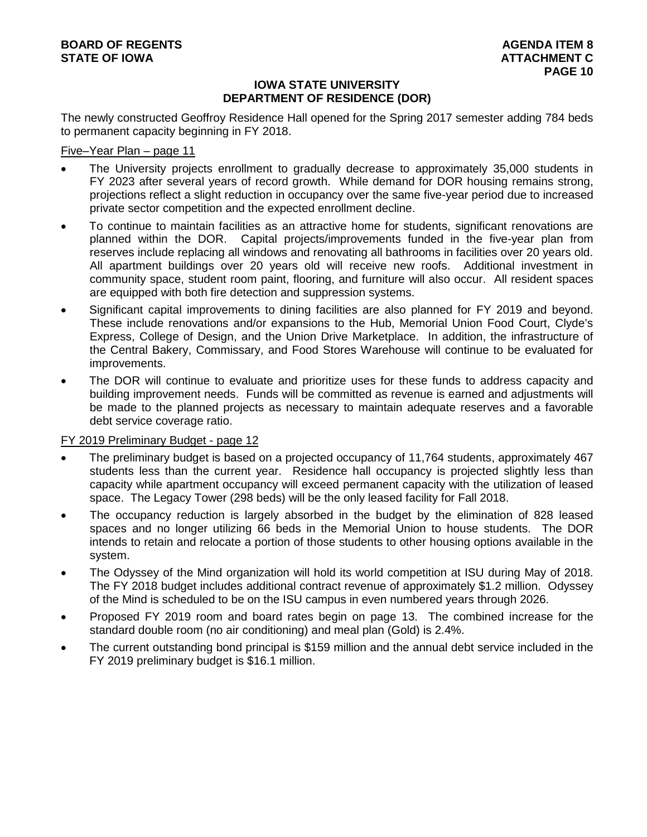# **IOWA STATE UNIVERSITY DEPARTMENT OF RESIDENCE (DOR)**

The newly constructed Geoffroy Residence Hall opened for the Spring 2017 semester adding 784 beds to permanent capacity beginning in FY 2018.

# Five–Year Plan – page 11

- The University projects enrollment to gradually decrease to approximately 35,000 students in FY 2023 after several years of record growth. While demand for DOR housing remains strong, projections reflect a slight reduction in occupancy over the same five-year period due to increased private sector competition and the expected enrollment decline.
- To continue to maintain facilities as an attractive home for students, significant renovations are planned within the DOR. Capital projects/improvements funded in the five-year plan from reserves include replacing all windows and renovating all bathrooms in facilities over 20 years old. All apartment buildings over 20 years old will receive new roofs. Additional investment in community space, student room paint, flooring, and furniture will also occur. All resident spaces are equipped with both fire detection and suppression systems.
- Significant capital improvements to dining facilities are also planned for FY 2019 and beyond. These include renovations and/or expansions to the Hub, Memorial Union Food Court, Clyde's Express, College of Design, and the Union Drive Marketplace. In addition, the infrastructure of the Central Bakery, Commissary, and Food Stores Warehouse will continue to be evaluated for improvements.
- The DOR will continue to evaluate and prioritize uses for these funds to address capacity and building improvement needs. Funds will be committed as revenue is earned and adjustments will be made to the planned projects as necessary to maintain adequate reserves and a favorable debt service coverage ratio.

# FY 2019 Preliminary Budget - page 12

- The preliminary budget is based on a projected occupancy of 11,764 students, approximately 467 students less than the current year. Residence hall occupancy is projected slightly less than capacity while apartment occupancy will exceed permanent capacity with the utilization of leased space. The Legacy Tower (298 beds) will be the only leased facility for Fall 2018.
- The occupancy reduction is largely absorbed in the budget by the elimination of 828 leased spaces and no longer utilizing 66 beds in the Memorial Union to house students. The DOR intends to retain and relocate a portion of those students to other housing options available in the system.
- The Odyssey of the Mind organization will hold its world competition at ISU during May of 2018. The FY 2018 budget includes additional contract revenue of approximately \$1.2 million. Odyssey of the Mind is scheduled to be on the ISU campus in even numbered years through 2026.
- Proposed FY 2019 room and board rates begin on page 13. The combined increase for the standard double room (no air conditioning) and meal plan (Gold) is 2.4%.
- The current outstanding bond principal is \$159 million and the annual debt service included in the FY 2019 preliminary budget is \$16.1 million.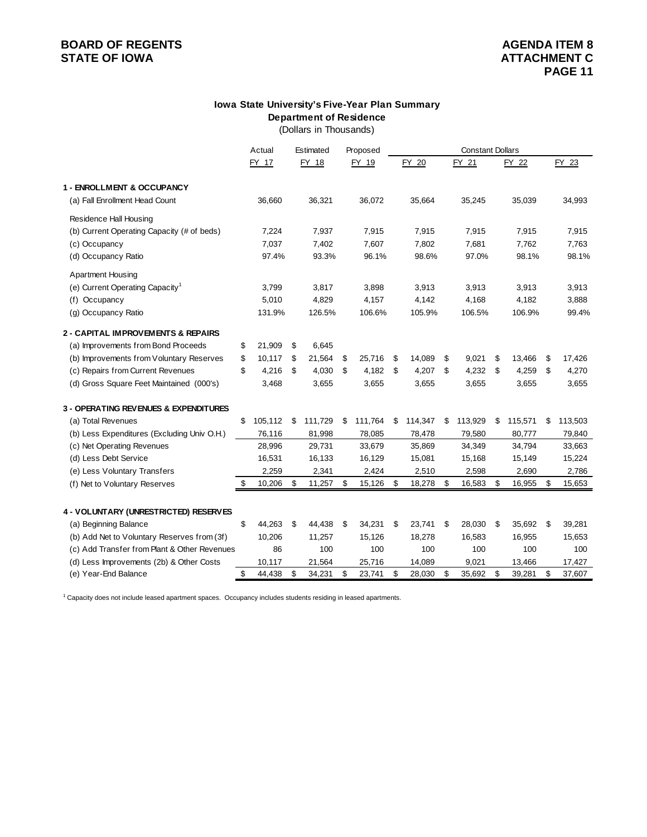# **BOARD OF REGENTS**<br> **BOARD OF REGENTS**<br> **BOARD OF IOWA**<br> **ATTACHMENT C STATE OF IOWA**

#### **Department of Residence Iowa State University's Five-Year Plan Summary**

(Dollars in Thousands)

|                                                  | Actual        |     | Estimated | Proposed      | <b>Constant Dollars</b> |    |         |    |         |    |         |
|--------------------------------------------------|---------------|-----|-----------|---------------|-------------------------|----|---------|----|---------|----|---------|
|                                                  | FY 17         |     | FY 18     | FY 19         | FY 20                   |    | FY 21   |    | FY 22   |    | FY 23   |
|                                                  |               |     |           |               |                         |    |         |    |         |    |         |
| 1 - ENROLLMENT & OCCUPANCY                       |               |     |           |               |                         |    |         |    |         |    |         |
| (a) Fall Enrollment Head Count                   | 36,660        |     | 36,321    | 36,072        | 35,664                  |    | 35,245  |    | 35,039  |    | 34,993  |
| Residence Hall Housing                           |               |     |           |               |                         |    |         |    |         |    |         |
| (b) Current Operating Capacity (# of beds)       | 7,224         |     | 7,937     | 7,915         | 7,915                   |    | 7,915   |    | 7,915   |    | 7,915   |
| (c) Occupancy                                    | 7,037         |     | 7,402     | 7,607         | 7,802                   |    | 7,681   |    | 7,762   |    | 7,763   |
| (d) Occupancy Ratio                              | 97.4%         |     | 93.3%     | 96.1%         | 98.6%                   |    | 97.0%   |    | 98.1%   |    | 98.1%   |
| <b>Apartment Housing</b>                         |               |     |           |               |                         |    |         |    |         |    |         |
| (e) Current Operating Capacity <sup>1</sup>      | 3,799         |     | 3,817     | 3,898         | 3,913                   |    | 3,913   |    | 3,913   |    | 3,913   |
| (f) Occupancy                                    | 5,010         |     | 4,829     | 4,157         | 4,142                   |    | 4,168   |    | 4,182   |    | 3,888   |
| (g) Occupancy Ratio                              | 131.9%        |     | 126.5%    | 106.6%        | 105.9%                  |    | 106.5%  |    | 106.9%  |    | 99.4%   |
| 2 - CAPITAL IMPROVEMENTS & REPAIRS               |               |     |           |               |                         |    |         |    |         |    |         |
| (a) Improvements from Bond Proceeds              | \$<br>21,909  | \$  | 6,645     |               |                         |    |         |    |         |    |         |
| (b) Improvements from Voluntary Reserves         | \$<br>10,117  | \$  | 21,564    | \$<br>25,716  | \$<br>14,089            | \$ | 9,021   | \$ | 13,466  | \$ | 17,426  |
| (c) Repairs from Current Revenues                | \$<br>4,216   | -\$ | 4,030     | \$<br>4,182   | \$<br>4,207             | \$ | 4,232   | \$ | 4,259   | \$ | 4,270   |
| (d) Gross Square Feet Maintained (000's)         | 3,468         |     | 3,655     | 3,655         | 3,655                   |    | 3,655   |    | 3,655   |    | 3,655   |
|                                                  |               |     |           |               |                         |    |         |    |         |    |         |
| <b>3 - OPERATING REVENUES &amp; EXPENDITURES</b> |               |     |           |               |                         |    |         |    |         |    |         |
| (a) Total Revenues                               | \$<br>105,112 | \$  | 111,729   | \$<br>111,764 | \$<br>114,347           | S  | 113,929 | \$ | 115,571 | \$ | 113,503 |
| (b) Less Expenditures (Excluding Univ O.H.)      | 76,116        |     | 81,998    | 78,085        | 78,478                  |    | 79,580  |    | 80,777  |    | 79,840  |
| (c) Net Operating Revenues                       | 28,996        |     | 29,731    | 33,679        | 35,869                  |    | 34,349  |    | 34,794  |    | 33,663  |
| (d) Less Debt Service                            | 16,531        |     | 16,133    | 16,129        | 15,081                  |    | 15,168  |    | 15,149  |    | 15,224  |
| (e) Less Voluntary Transfers                     | 2,259         |     | 2,341     | 2,424         | 2,510                   |    | 2,598   |    | 2,690   |    | 2,786   |
| (f) Net to Voluntary Reserves                    | \$<br>10,206  | \$  | 11,257    | \$<br>15,126  | \$<br>18,278            | \$ | 16,583  | \$ | 16,955  | \$ | 15,653  |
|                                                  |               |     |           |               |                         |    |         |    |         |    |         |
| 4 - VOLUNTARY (UNRESTRICTED) RESERVES            |               |     |           |               |                         |    |         |    |         |    |         |
| (a) Beginning Balance                            | \$<br>44,263  | -\$ | 44,438    | \$<br>34,231  | \$<br>23,741            | \$ | 28,030  | \$ | 35,692  | \$ | 39,281  |
| (b) Add Net to Voluntary Reserves from (3f)      | 10,206        |     | 11,257    | 15,126        | 18,278                  |    | 16,583  |    | 16,955  |    | 15,653  |
| (c) Add Transfer from Plant & Other Revenues     | 86            |     | 100       | 100           | 100                     |    | 100     |    | 100     |    | 100     |
| (d) Less Improvements (2b) & Other Costs         | 10,117        |     | 21,564    | 25,716        | 14,089                  |    | 9,021   |    | 13,466  |    | 17,427  |
| (e) Year-End Balance                             | \$<br>44,438  | \$  | 34,231    | \$<br>23,741  | \$<br>28,030            | \$ | 35,692  | \$ | 39,281  | \$ | 37,607  |

<sup>1</sup> Capacity does not include leased apartment spaces. Occupancy includes students residing in leased apartments.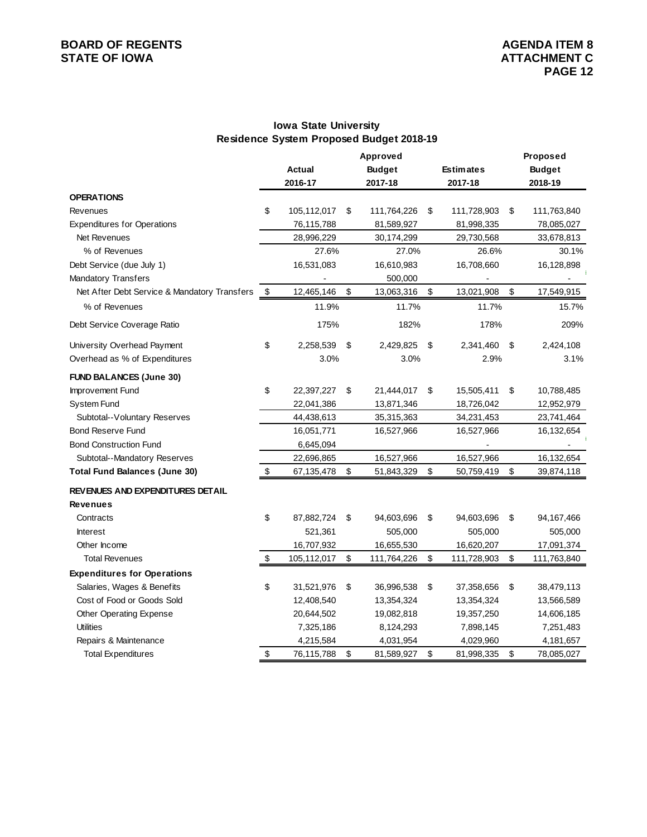# **BOARD OF REGENTS**<br> **BOARD OF REGENTS**<br> **BOARD OF IOWA**<br> **ATTACHMENT C STATE OF IOWA**

# **Iowa State University Residence System Proposed Budget 2018-19**

|                                              |                   |                   | Proposed          |                         |               |
|----------------------------------------------|-------------------|-------------------|-------------------|-------------------------|---------------|
|                                              | Actual            | <b>Budget</b>     | <b>Estimates</b>  |                         | <b>Budget</b> |
|                                              | 2016-17           | 2017-18           | 2017-18           |                         | 2018-19       |
| <b>OPERATIONS</b>                            |                   |                   |                   |                         |               |
| Revenues                                     | \$<br>105,112,017 | \$<br>111,764,226 | \$<br>111,728,903 | \$                      | 111,763,840   |
| <b>Expenditures for Operations</b>           | 76,115,788        | 81,589,927        | 81,998,335        |                         | 78,085,027    |
| Net Revenues                                 | 28,996,229        | 30,174,299        | 29,730,568        |                         | 33,678,813    |
| % of Revenues                                | 27.6%             | 27.0%             | 26.6%             |                         | 30.1%         |
| Debt Service (due July 1)                    | 16,531,083        | 16,610,983        | 16,708,660        |                         | 16,128,898    |
| Mandatory Transfers                          |                   | 500,000           |                   |                         |               |
| Net After Debt Service & Mandatory Transfers | \$<br>12,465,146  | \$<br>13,063,316  | \$<br>13,021,908  | $\sqrt[6]{\frac{1}{2}}$ | 17,549,915    |
| % of Revenues                                | 11.9%             | 11.7%             | 11.7%             |                         | 15.7%         |
| Debt Service Coverage Ratio                  | 175%              | 182%              | 178%              |                         | 209%          |
| University Overhead Payment                  | \$<br>2,258,539   | \$<br>2,429,825   | \$<br>2,341,460   | \$                      | 2,424,108     |
| Overhead as % of Expenditures                | 3.0%              | 3.0%              | 2.9%              |                         | 3.1%          |
| <b>FUND BALANCES (June 30)</b>               |                   |                   |                   |                         |               |
| Improvement Fund                             | \$<br>22,397,227  | \$<br>21,444,017  | \$<br>15,505,411  | \$                      | 10,788,485    |
| System Fund                                  | 22,041,386        | 13,871,346        | 18,726,042        |                         | 12,952,979    |
| Subtotal--Voluntary Reserves                 | 44,438,613        | 35,315,363        | 34,231,453        |                         | 23,741,464    |
| <b>Bond Reserve Fund</b>                     | 16,051,771        | 16,527,966        | 16,527,966        |                         | 16,132,654    |
| <b>Bond Construction Fund</b>                | 6,645,094         |                   |                   |                         |               |
| Subtotal--Mandatory Reserves                 | 22,696,865        | 16,527,966        | 16,527,966        |                         | 16,132,654    |
| <b>Total Fund Balances (June 30)</b>         | \$<br>67,135,478  | \$<br>51,843,329  | \$<br>50,759,419  | \$                      | 39,874,118    |
| REVENUES AND EXPENDITURES DETAIL             |                   |                   |                   |                         |               |
| <b>Revenues</b>                              |                   |                   |                   |                         |               |
| Contracts                                    | \$<br>87,882,724  | \$<br>94,603,696  | \$<br>94,603,696  | \$                      | 94,167,466    |
| <b>Interest</b>                              | 521,361           | 505,000           | 505,000           |                         | 505,000       |
| Other Income                                 | 16,707,932        | 16,655,530        | 16,620,207        |                         | 17,091,374    |
| <b>Total Revenues</b>                        | \$<br>105,112,017 | \$<br>111,764,226 | \$<br>111,728,903 | \$                      | 111,763,840   |
| <b>Expenditures for Operations</b>           |                   |                   |                   |                         |               |
| Salaries, Wages & Benefits                   | \$<br>31,521,976  | \$<br>36,996,538  | \$<br>37,358,656  | \$                      | 38,479,113    |
| Cost of Food or Goods Sold                   | 12,408,540        | 13,354,324        | 13,354,324        |                         | 13,566,589    |
| Other Operating Expense                      | 20,644,502        | 19,082,818        | 19,357,250        |                         | 14,606,185    |
| <b>Utilities</b>                             | 7,325,186         | 8,124,293         | 7,898,145         |                         | 7,251,483     |
| Repairs & Maintenance                        | 4,215,584         | 4,031,954         | 4,029,960         |                         | 4,181,657     |
| <b>Total Expenditures</b>                    | \$<br>76,115,788  | \$<br>81,589,927  | \$<br>81,998,335  | \$                      | 78,085,027    |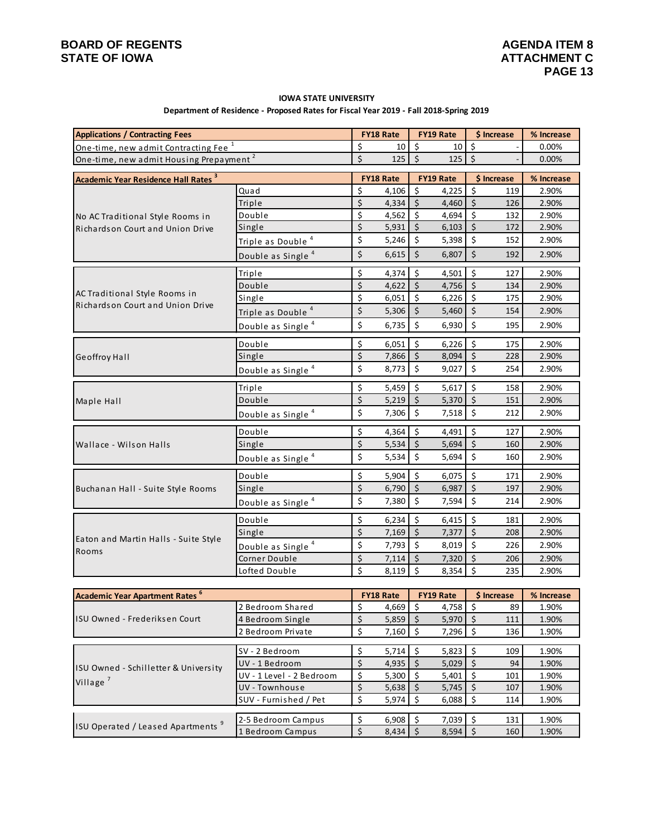Village<sup>7</sup>

#### **IOWA STATE UNIVERSITY**

#### **Department of Residence - Proposed Rates for Fiscal Year 2019 - Fall 2018-Spring 2019**

| <b>Applications / Contracting Fees</b>              |                               |          | <b>FY18 Rate</b>          |                      | FY19 Rate          | \$ Increase          |     | % Increase          |
|-----------------------------------------------------|-------------------------------|----------|---------------------------|----------------------|--------------------|----------------------|-----|---------------------|
| One-time, new admit Contracting Fee <sup>1</sup>    |                               | \$       | 10                        | \$                   | 10                 | \$                   |     | 0.00%               |
| One-time, new admit Housing Prepayment <sup>2</sup> |                               | \$       | 125                       | $\zeta$              | 125                | \$                   |     | 0.00%               |
| <b>Academic Year Residence Hall Rates 3</b>         |                               |          | <b>FY18 Rate</b>          |                      | FY19 Rate          | \$ Increase          |     | % Increase          |
|                                                     | Quad                          | \$       | 4,106                     | \$                   | 4,225              | \$                   | 119 | 2.90%               |
|                                                     | Triple                        | \$       | 4,334                     | $\zeta$              | 4,460              | $\zeta$              | 126 | 2.90%               |
| No AC Traditional Style Rooms in                    | Double                        | \$       | 4,562                     | \$                   | 4,694              | \$                   | 132 | 2.90%               |
| Richardson Court and Union Drive                    | Single                        | \$       | 5,931                     | \$                   | 6,103              | $\boldsymbol{\xi}$   | 172 | 2.90%               |
|                                                     | Triple as Double <sup>4</sup> | \$       | 5,246                     | \$                   | 5,398              | $\zeta$              | 152 | 2.90%               |
|                                                     | Double as Single <sup>4</sup> | \$       | 6,615                     | $\zeta$              | 6,807              | $\zeta$              | 192 | 2.90%               |
|                                                     | Triple                        | \$       | 4,374                     | \$                   | 4,501              | \$                   | 127 | 2.90%               |
|                                                     | Double                        | \$       | 4,622                     | $\zeta$              | 4,756              | $\overline{\xi}$     | 134 | 2.90%               |
| AC Traditional Style Rooms in                       | Single                        | \$       | 6,051                     | \$                   | 6,226              | \$                   | 175 | 2.90%               |
| Richardson Court and Union Drive                    | Triple as Double <sup>4</sup> | \$       | 5,306                     | \$                   | 5,460              | $\zeta$              | 154 | 2.90%               |
|                                                     | Double as Single <sup>4</sup> | \$       | 6,735                     | \$                   | 6,930              | \$                   | 195 | 2.90%               |
|                                                     | Double                        | \$       | 6,051                     | \$                   | 6,226              | $\zeta$              | 175 | 2.90%               |
| Geoffroy Hall                                       | Single                        | \$       | 7,866                     | $\zeta$              | 8,094              | \$                   | 228 | 2.90%               |
|                                                     | Double as Single <sup>4</sup> | \$       | 8,773                     | \$                   | 9,027              | \$                   | 254 | 2.90%               |
|                                                     | Triple                        | \$       | 5,459                     | \$                   | 5,617              | $\boldsymbol{\zeta}$ | 158 | 2.90%               |
| Maple Hall                                          | Double                        | \$       | 5,219                     | $\zeta$              | 5,370              | $\zeta$              | 151 | 2.90%               |
|                                                     | Double as Single <sup>4</sup> | \$       | 7,306                     | \$                   | 7,518              | \$                   | 212 | 2.90%               |
|                                                     | Double                        | \$       | 4,364                     | \$                   | 4,491              | \$                   | 127 | 2.90%               |
| Wallace - Wilson Halls                              | Single                        | \$       | 5,534                     | \$                   | 5,694              | \$                   | 160 | 2.90%               |
|                                                     | Double as Single <sup>4</sup> | \$       | 5,534                     | \$                   | 5,694              | $\boldsymbol{\zeta}$ | 160 | 2.90%               |
|                                                     | Double                        | \$       | 5,904                     | \$                   | 6,075              | $\zeta$              | 171 | 2.90%               |
| Buchanan Hall - Suite Style Rooms                   | Single                        | \$       | 6,790                     | $\zeta$              | 6,987              | $\zeta$              | 197 | 2.90%               |
|                                                     | Double as Single <sup>4</sup> | \$       | 7,380                     | \$                   | 7,594              | \$                   | 214 | 2.90%               |
|                                                     | Double                        | \$       | 6,234                     | $\boldsymbol{\zeta}$ | 6,415              | $\boldsymbol{\zeta}$ | 181 | 2.90%               |
|                                                     | Single                        | \$       | 7,169                     | $\zeta$              | 7,377              | $\zeta$              | 208 | 2.90%               |
| Eaton and Martin Halls - Suite Style<br>Rooms       | Double as Single <sup>4</sup> | \$       | 7,793                     | \$                   | 8,019              | $\boldsymbol{\zeta}$ | 226 | 2.90%               |
|                                                     | Corner Double                 | \$       | 7,114                     | $\mathsf{\dot{S}}$   | 7,320              | \$                   | 206 | 2.90%               |
|                                                     | Lofted Double                 | \$       | 8,119                     | \$                   | 8,354              | \$                   | 235 | 2.90%               |
|                                                     |                               |          |                           |                      |                    |                      |     |                     |
| <b>Academic Year Apartment Rates<sup>6</sup></b>    | 2 Bedroom Shared              |          | <b>FY18 Rate</b><br>4,669 | \$                   | FY19 Rate<br>4,758 | \$ Increase<br>\$    | 89  | % Increase<br>1.90% |
| ISU Owned - Frederiksen Court                       | 4 Bedroom Single              | \$<br>\$ | 5,859                     | $\zeta$              | 5,970              | $\zeta$              | 111 | 1.90%               |
|                                                     | 2 Bedroom Private             | \$       | 7,160                     | \$                   | 7,296              | $\boldsymbol{\zeta}$ | 136 | 1.90%               |
|                                                     |                               |          |                           |                      |                    |                      |     |                     |
|                                                     | SV - 2 Bedroom                | \$       | 5,714                     | \$                   | 5,823              | \$<br>$\zeta$        | 109 | 1.90%               |
| ISU Owned - Schilletter & University                | UV - 1 Bedroom                | \$       | 4,935                     | $\zeta$              | 5,029              |                      | 94  | 1.90%               |

1 Bedroom Campus \$ 8,434 \$ 8,594 \$ 160 1.90% ISU Operated / Leased Apartments <sup>9</sup>

 $UV - 1$  Level - 2 Bedroom  $\begin{vmatrix} 5 & 5,300 \\ 5 & 5,401 \end{vmatrix}$  \$ 101 1.90% UV - Townhouse \$ 5,638 \$ 5,745 \$ 107 1.90% SUV - Furnished / Pet \$ 5,974 \$ 6,088 \$ 114 1.90% 2-5 Bedroom Campus  $\begin{vmatrix} 5 & 6,908 & 5 \end{vmatrix}$  5 7,039 | 5 131 1.90%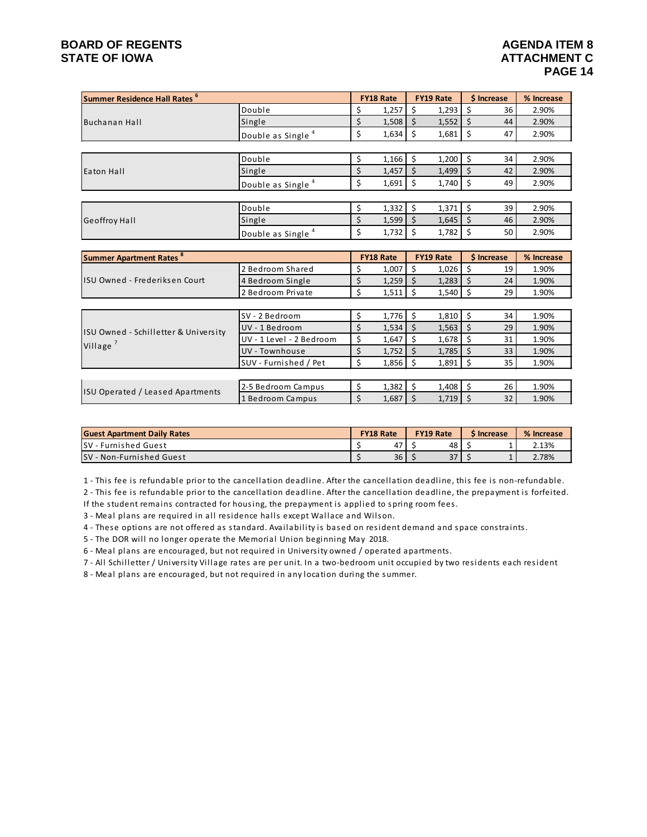# **BOARD OF REGENTS**<br> **BOARD OF REGENTS**<br> **BOARD OF IOWA**<br> **ATTACHMENT C STATE OF IOWA**

| Summer Residence Hall Rates <sup>6</sup> |                               |    | <b>FY18 Rate</b> |   | <b>FY19 Rate</b> |    | \$ Increase | % Increase |
|------------------------------------------|-------------------------------|----|------------------|---|------------------|----|-------------|------------|
|                                          | Double                        | S  | 1,257            | s | 1,293            | \$ | 36          | 2.90%      |
| Buchanan Hall                            | Single                        |    | 1,508            | S | 1,552            | \$ | 44          | 2.90%      |
|                                          | Double as Single <sup>4</sup> | \$ | 1,634            |   | 1,681            | \$ | 47          | 2.90%      |
|                                          |                               |    |                  |   |                  |    |             |            |
|                                          | Double                        | Ś  | 1,166            |   | 1,200            |    | 34          | 2.90%      |
| Eaton Hall                               | Single                        | \$ | 1,457            |   | 1,499            | Ś  | 42          | 2.90%      |
|                                          | Double as Single              | \$ | 1,691            |   | 1,740            |    | 49          | 2.90%      |
|                                          |                               |    |                  |   |                  |    |             |            |
|                                          | Double                        | \$ | 1,332            |   | 1,371            | Ś  | 39          | 2.90%      |
| <b>Geoffroy Hall</b>                     | Single                        | \$ | 1,599            |   | 1,645            | S  | 46          | 2.90%      |
|                                          | Double as Single              | \$ | 1,732            |   | 1,782            | \$ | 50          | 2.90%      |

| <b>Summer Apartment Rates <sup>8</sup></b> |                          |   | <b>FY18 Rate</b> |  | <b>FY19 Rate</b> | \$ Increase | % Increase |
|--------------------------------------------|--------------------------|---|------------------|--|------------------|-------------|------------|
|                                            | 2 Bedroom Shared         |   | 1,007            |  | 1,026            | 19          | 1.90%      |
| ISU Owned - Frederiksen Court              | 4 Bedroom Single         | Ś | 1,259            |  | 1,283            | 24          | 1.90%      |
|                                            | 2 Bedroom Private        |   |                  |  | 1,540            | 29          | 1.90%      |
|                                            |                          |   |                  |  |                  |             |            |
|                                            | SV - 2 Bedroom           |   | $1,776$ \$       |  | 1,810            | 34          | 1.90%      |
| ISU Owned - Schilletter & University       | UV - 1 Bedroom           |   | $1,534$   \$     |  | 1,563            | 29          | 1.90%      |
|                                            | UV - 1 Level - 2 Bedroom |   | 1,647            |  | 1,678            | 31          | 1.90%      |
| Village <sup>'</sup>                       | UV - Townhouse           |   | 1,752            |  | 1,785            | 33          | 1.90%      |
|                                            | SUV - Furnished / Pet    |   | $1,856$ \$       |  | 1,891            | 35          | 1.90%      |
|                                            |                          |   |                  |  |                  |             |            |
| ISU Operated / Leased Apartments           | 2-5 Bedroom Campus       | Ś | 1,382            |  | 1.408            | 26          | 1.90%      |
|                                            | 1 Bedroom Campus         |   | 1,687            |  | $1,719$   \$     | 32          | 1.90%      |

| <b>Guest Apartment Daily Rates</b> | <b>FY18 Rate</b> |    |  | <b>FY19 Rate</b> | <b>S</b> Increase | % Increase |  |
|------------------------------------|------------------|----|--|------------------|-------------------|------------|--|
| <b>SV</b> - Furnished Guest        |                  | 47 |  | 48               |                   | 2.13%      |  |
| SV - Non-Furnished Guest           |                  | 36 |  | 37               |                   | 2.78%      |  |

1 - This fee is refundable prior to the cancellation deadline. After the cancellation deadline, this fee is non-refundable.

2 - This fee is refundable prior to the cancellation deadline. After the cancellation deadline, the prepayment is forfeited.

If the student remains contracted for housing, the prepayment is applied to spring room fees.

3 - Meal plans are required in all residence halls except Wallace and Wilson.

4 - These options are not offered as standard. Availability is based on resident demand and space constraints.

5 - The DOR will no longer operate the Memorial Union beginning May 2018.

6 - Meal plans are encouraged, but not required in University owned / operated apartments.

7 - All Schilletter / University Village rates are per unit. In a two-bedroom unit occupied by two residents each resident

8 - Meal plans are encouraged, but not required in any location during the summer.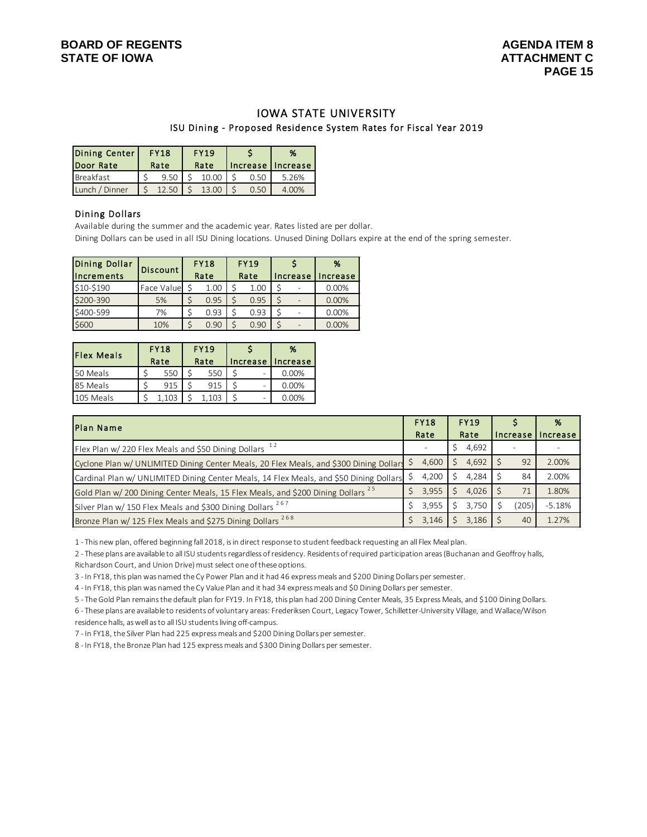#### IOWA STATE UNIVERSITY ISU Dining - Proposed Residence System Rates for Fiscal Year 2019

| Dining Center  | <b>FY18</b> |      | <b>FY19</b> |      | %                   |  |  |  |
|----------------|-------------|------|-------------|------|---------------------|--|--|--|
| Door Rate      |             | Rate | Rate        |      | Increase   Increase |  |  |  |
| Breakfast      |             | 9.50 | 10.00       | 0.50 | 5.26%               |  |  |  |
| Lunch / Dinner |             |      | 13.00       |      | 4.00%               |  |  |  |

#### Dining Dollars

Available during the summer and the academic year. Rates listed are per dollar.

Dining Dollars can be used in all ISU Dining locations. Unused Dining Dollars expire at the end of the spring semester.

| Dining Dollar | <b>Discount</b> |      | <b>FY18</b> |      | <b>FY19</b> |          | %        |  |
|---------------|-----------------|------|-------------|------|-------------|----------|----------|--|
| Increments    |                 | Rate |             | Rate |             | Increase | Increase |  |
| \$10-\$190    | Face Value      |      | 1.00        |      | 1.00        |          | 0.00%    |  |
| \$200-390     | 5%              |      | 0.95        |      | 0.95        |          | 0.00%    |  |
| \$400-599     | 7%              |      | 0.93        |      | 0.93        |          | 0.00%    |  |
| \$600         | 10%             |      | 0.90        |      | 0.90        |          | 0.00%    |  |

| <b>Flex Meals</b> | <b>FY18</b><br>Rate | <b>FY19</b><br>Rate |     | Increase                 | %<br>Increase |  |  |
|-------------------|---------------------|---------------------|-----|--------------------------|---------------|--|--|
| 50 Meals          | 550                 |                     | 550 | $\overline{\phantom{0}}$ | 0.00%         |  |  |
| 85 Meals          | 915                 |                     | 915 |                          | 0.00%         |  |  |
| 105 Meals         | .103                |                     | 103 | $\overline{\phantom{0}}$ | 0.00%         |  |  |

| Plan Name                                                                                   | <b>FY18</b> | <b>FY19</b>  |          | %        |
|---------------------------------------------------------------------------------------------|-------------|--------------|----------|----------|
|                                                                                             | Rate        | Rate         | Increase | Increase |
| Flex Plan w/ 220 Flex Meals and \$50 Dining Dollars 12                                      |             | 4,692        |          |          |
| Cyclone Plan w/ UNLIMITED Dining Center Meals, 20 Flex Meals, and \$300 Dining Dollars      | 4,600       | 4.692        | 92       | 2.00%    |
| Cardinal Plan w/ UNLIMITED Dining Center Meals, 14 Flex Meals, and \$50 Dining Dollars      | 4,200       | 4.284        | 84       | 2.00%    |
| Gold Plan w/ 200 Dining Center Meals, 15 Flex Meals, and \$200 Dining Dollars <sup>25</sup> | 3,955       | $4.026$   \$ | 71       | 1.80%    |
| Silver Plan w/ 150 Flex Meals and \$300 Dining Dollars <sup>267</sup>                       | 3.955       | 3.750        | (205)    | $-5.18%$ |
| Bronze Plan w/ 125 Flex Meals and \$275 Dining Dollars <sup>268</sup>                       | 3,146       | 3.186        | 40       | 1.27%    |

1 - This new plan, offered beginning fall 2018, is in direct response to student feedback requesting an all Flex Meal plan.

2 - These plans are available to all ISU students regardless of residency. Residents of required participation areas (Buchanan and Geoffroy halls, Richardson Court, and Union Drive) must select one of these options.

3 - In FY18, this plan was named the Cy Power Plan and it had 46 express meals and \$200 Dining Dollars per semester.

4 - In FY18, this plan was named the Cy Value Plan and it had 34 express meals and \$0 Dining Dollars per semester.

5 - The Gold Plan remains the default plan for FY19. In FY18, this plan had 200 Dining Center Meals, 35 Express Meals, and \$100 Dining Dollars.

6 - These plans are available to residents of voluntary areas: Frederiksen Court, Legacy Tower, Schilletter-University Village, and Wallace/Wilson residence halls, as well as to all ISU students living off-campus.

7 - In FY18, the Silver Plan had 225 express meals and \$200 Dining Dollars per semester.

8 - In FY18, the Bronze Plan had 125 express meals and \$300 Dining Dollars per semester.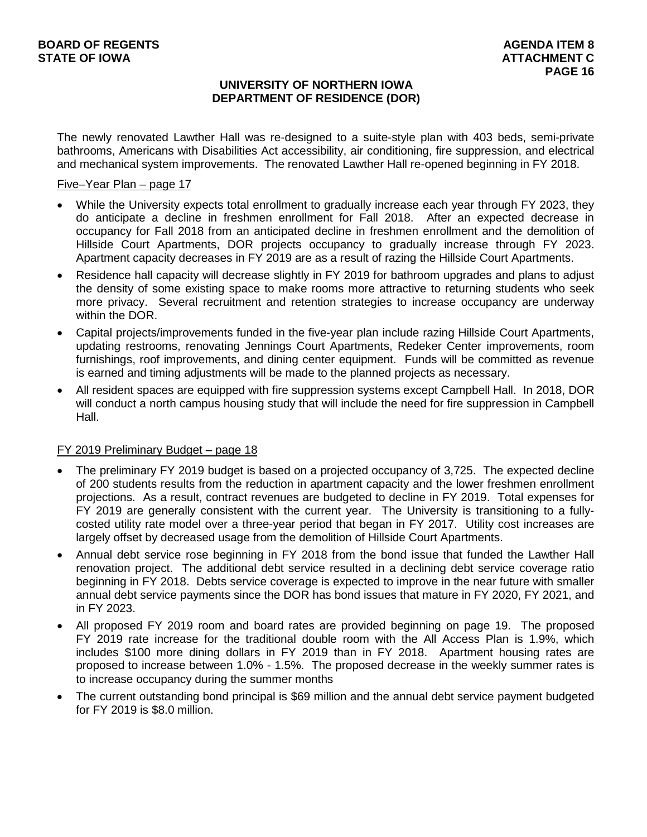### **UNIVERSITY OF NORTHERN IOWA DEPARTMENT OF RESIDENCE (DOR)**

The newly renovated Lawther Hall was re-designed to a suite-style plan with 403 beds, semi-private bathrooms, Americans with Disabilities Act accessibility, air conditioning, fire suppression, and electrical and mechanical system improvements. The renovated Lawther Hall re-opened beginning in FY 2018.

#### Five–Year Plan – page 17

- While the University expects total enrollment to gradually increase each year through FY 2023, they do anticipate a decline in freshmen enrollment for Fall 2018. After an expected decrease in occupancy for Fall 2018 from an anticipated decline in freshmen enrollment and the demolition of Hillside Court Apartments, DOR projects occupancy to gradually increase through FY 2023. Apartment capacity decreases in FY 2019 are as a result of razing the Hillside Court Apartments.
- Residence hall capacity will decrease slightly in FY 2019 for bathroom upgrades and plans to adjust the density of some existing space to make rooms more attractive to returning students who seek more privacy. Several recruitment and retention strategies to increase occupancy are underway within the DOR.
- Capital projects/improvements funded in the five-year plan include razing Hillside Court Apartments, updating restrooms, renovating Jennings Court Apartments, Redeker Center improvements, room furnishings, roof improvements, and dining center equipment. Funds will be committed as revenue is earned and timing adjustments will be made to the planned projects as necessary.
- All resident spaces are equipped with fire suppression systems except Campbell Hall. In 2018, DOR will conduct a north campus housing study that will include the need for fire suppression in Campbell Hall.

# FY 2019 Preliminary Budget – page 18

- The preliminary FY 2019 budget is based on a projected occupancy of 3,725. The expected decline of 200 students results from the reduction in apartment capacity and the lower freshmen enrollment projections. As a result, contract revenues are budgeted to decline in FY 2019. Total expenses for FY 2019 are generally consistent with the current year. The University is transitioning to a fullycosted utility rate model over a three-year period that began in FY 2017. Utility cost increases are largely offset by decreased usage from the demolition of Hillside Court Apartments.
- Annual debt service rose beginning in FY 2018 from the bond issue that funded the Lawther Hall renovation project. The additional debt service resulted in a declining debt service coverage ratio beginning in FY 2018. Debts service coverage is expected to improve in the near future with smaller annual debt service payments since the DOR has bond issues that mature in FY 2020, FY 2021, and in FY 2023.
- All proposed FY 2019 room and board rates are provided beginning on page 19. The proposed FY 2019 rate increase for the traditional double room with the All Access Plan is 1.9%, which includes \$100 more dining dollars in FY 2019 than in FY 2018. Apartment housing rates are proposed to increase between 1.0% - 1.5%. The proposed decrease in the weekly summer rates is to increase occupancy during the summer months
- The current outstanding bond principal is \$69 million and the annual debt service payment budgeted for FY 2019 is \$8.0 million.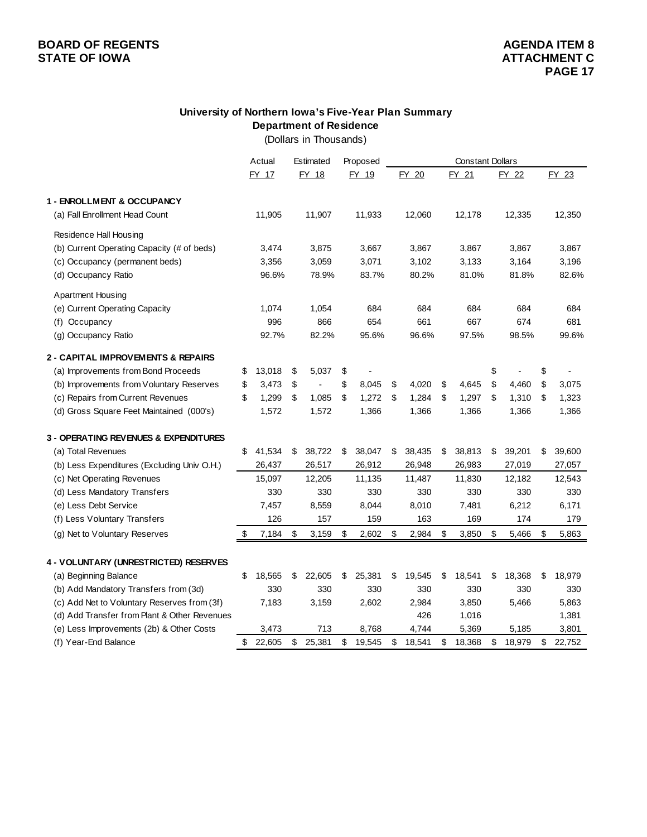# **University of Northern Iowa's Five-Year Plan Summary Department of Residence**

(Dollars in Thousands)

| FY 18<br>FY 19<br>FY 20<br>FY 22<br>FY 17<br>FY 21<br>FY 23<br>1 - ENROLLMENT & OCCUPANCY<br>11,905<br>11,907<br>11,933<br>12,060<br>12,178<br>12,335 | 12,350 |
|-------------------------------------------------------------------------------------------------------------------------------------------------------|--------|
|                                                                                                                                                       |        |
|                                                                                                                                                       |        |
| (a) Fall Enrollment Head Count                                                                                                                        |        |
| Residence Hall Housing                                                                                                                                |        |
| (b) Current Operating Capacity (# of beds)<br>3,867<br>3,867<br>3,474<br>3,875<br>3,667<br>3,867<br>3,867                                             |        |
| (c) Occupancy (permanent beds)<br>3,059<br>3,071<br>3,102<br>3,133<br>3,164<br>3,196<br>3,356                                                         |        |
| (d) Occupancy Ratio<br>96.6%<br>78.9%<br>83.7%<br>80.2%<br>81.0%<br>81.8%<br>82.6%                                                                    |        |
| <b>Apartment Housing</b>                                                                                                                              |        |
| (e) Current Operating Capacity<br>1,074<br>1,054<br>684<br>684<br>684<br>684                                                                          | 684    |
| 996<br>866<br>654<br>661<br>667<br>674<br>Occupancy<br>(f)                                                                                            | 681    |
| 92.7%<br>82.2%<br>95.6%<br>96.6%<br>97.5%<br>98.5%<br>(g) Occupancy Ratio<br>99.6%                                                                    |        |
| 2 - CAPITAL IMPROVEMENTS & REPAIRS                                                                                                                    |        |
| (a) Improvements from Bond Proceeds<br>13,018<br>\$<br>5,037<br>\$<br>\$<br>\$<br>\$                                                                  |        |
| \$<br>(b) Improvements from Voluntary Reserves<br>\$<br>3,473<br>\$<br>8,045<br>\$<br>4,020<br>\$<br>4,645<br>\$<br>4,460<br>\$<br>3,075              |        |
| (c) Repairs from Current Revenues<br>\$<br>1,299<br>\$<br>1,085<br>1,272<br>\$<br>1,284<br>\$<br>1,297<br>\$<br>\$<br>1,310<br>\$<br>1,323            |        |
| 1,572<br>1,366<br>1,572<br>1,366<br>1,366<br>1,366<br>1,366<br>(d) Gross Square Feet Maintained (000's)                                               |        |
| <b>3 - OPERATING REVENUES &amp; EXPENDITURES</b>                                                                                                      |        |
| 41,534<br>38,722<br>38,047<br>38,435<br>38,813<br>39,201<br>(a) Total Revenues<br>\$<br>\$<br>\$<br>\$<br>\$<br>\$<br>\$<br>39,600                    |        |
| (b) Less Expenditures (Excluding Univ O.H.)<br>26,437<br>26,517<br>26,912<br>26,948<br>26,983<br>27,019<br>27,057                                     |        |
| (c) Net Operating Revenues<br>15,097<br>12,205<br>11,135<br>11,487<br>11,830<br>12,182<br>12,543                                                      |        |
| 330<br>330<br>330<br>(d) Less Mandatory Transfers<br>330<br>330<br>330                                                                                | 330    |
| (e) Less Debt Service<br>7,457<br>8,559<br>8,044<br>8,010<br>7,481<br>6,212<br>6,171                                                                  |        |
| (f) Less Voluntary Transfers<br>126<br>157<br>159<br>163<br>174<br>169                                                                                | 179    |
| (g) Net to Voluntary Reserves<br>\$<br>7,184<br>\$<br>3,159<br>\$<br>2,602<br>\$<br>2,984<br>\$<br>3,850<br>\$<br>5,466<br>\$<br>5,863                |        |
| 4 - VOLUNTARY (UNRESTRICTED) RESERVES                                                                                                                 |        |
| \$<br>25,381<br>18,541<br>(a) Beginning Balance<br>18,565<br>22,605<br>\$<br>\$<br>19,545<br>\$<br>18,368<br>18,979<br>S<br>S<br>S                    |        |
| (b) Add Mandatory Transfers from (3d)<br>330<br>330<br>330<br>330<br>330<br>330                                                                       | 330    |
| (c) Add Net to Voluntary Reserves from (3f)<br>7,183<br>3,159<br>2,602<br>2,984<br>3,850<br>5,466<br>5,863                                            |        |
| (d) Add Transfer from Plant & Other Revenues<br>426<br>1,016<br>1,381                                                                                 |        |
| (e) Less Improvements (2b) & Other Costs<br>3,473<br>713<br>8,768<br>4,744<br>5,369<br>5,185<br>3,801                                                 |        |
| (f) Year-End Balance<br>\$<br>22,605<br>25,381<br>\$<br>\$<br>\$<br>18,979<br>\$<br>\$<br>19,545<br>18,541<br>18,368<br>\$<br>22,752                  |        |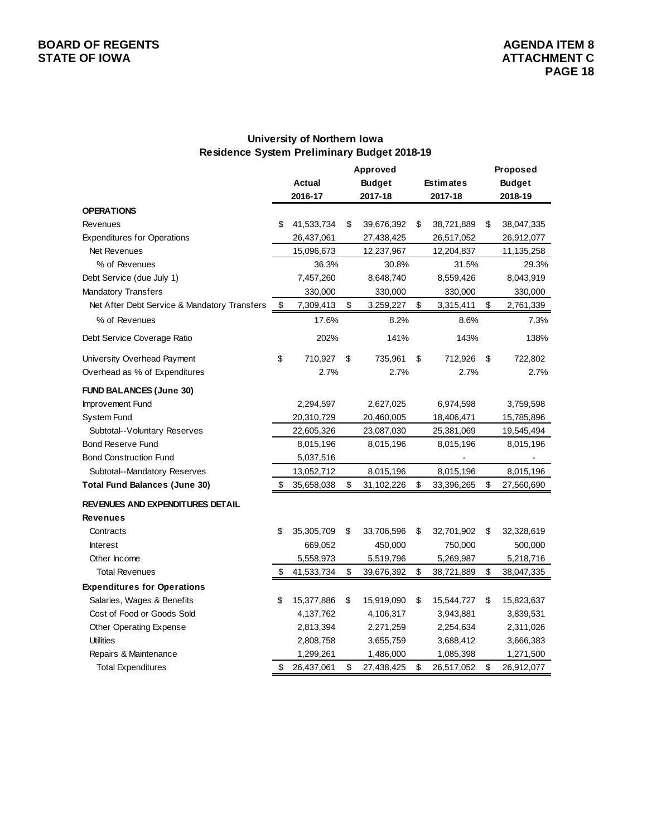# **University of Northern Iowa Residence System Preliminary Budget 2018-19**

|                                              |    |               | Approved         |                  | Proposed         |
|----------------------------------------------|----|---------------|------------------|------------------|------------------|
|                                              |    | <b>Actual</b> | <b>Budget</b>    | <b>Estimates</b> | <b>Budget</b>    |
|                                              |    | 2016-17       | 2017-18          | 2017-18          | 2018-19          |
| <b>OPERATIONS</b>                            |    |               |                  |                  |                  |
| Revenues                                     | S  | 41,533,734    | \$<br>39,676,392 | \$<br>38,721,889 | \$<br>38,047,335 |
| <b>Expenditures for Operations</b>           |    | 26,437,061    | 27,438,425       | 26,517,052       | 26,912,077       |
| <b>Net Revenues</b>                          |    | 15,096,673    | 12,237,967       | 12,204,837       | 11,135,258       |
| % of Revenues                                |    | 36.3%         | 30.8%            | 31.5%            | 29.3%            |
| Debt Service (due July 1)                    |    | 7,457,260     | 8,648,740        | 8,559,426        | 8,043,919        |
| Mandatory Transfers                          |    | 330,000       | 330,000          | 330,000          | 330,000          |
| Net After Debt Service & Mandatory Transfers | \$ | 7,309,413     | \$<br>3,259,227  | \$<br>3,315,411  | \$<br>2,761,339  |
| % of Revenues                                |    | 17.6%         | 8.2%             | 8.6%             | 7.3%             |
| Debt Service Coverage Ratio                  |    | 202%          | 141%             | 143%             | 138%             |
| University Overhead Payment                  | \$ | 710,927       | \$<br>735,961    | \$<br>712,926    | \$<br>722,802    |
| Overhead as % of Expenditures                |    | 2.7%          | 2.7%             | 2.7%             | 2.7%             |
| <b>FUND BALANCES (June 30)</b>               |    |               |                  |                  |                  |
| Improvement Fund                             |    | 2,294,597     | 2,627,025        | 6,974,598        | 3,759,598        |
| System Fund                                  |    | 20,310,729    | 20,460,005       | 18,406,471       | 15,785,896       |
| Subtotal--Voluntary Reserves                 |    | 22,605,326    | 23,087,030       | 25,381,069       | 19,545,494       |
| <b>Bond Reserve Fund</b>                     |    | 8,015,196     | 8,015,196        | 8,015,196        | 8,015,196        |
| <b>Bond Construction Fund</b>                |    | 5,037,516     |                  |                  |                  |
| Subtotal--Mandatory Reserves                 |    | 13,052,712    | 8,015,196        | 8,015,196        | 8,015,196        |
| <b>Total Fund Balances (June 30)</b>         | \$ | 35,658,038    | \$<br>31,102,226 | \$<br>33,396,265 | \$<br>27,560,690 |
| <b>REVENUES AND EXPENDITURES DETAIL</b>      |    |               |                  |                  |                  |
| <b>Revenues</b>                              |    |               |                  |                  |                  |
| Contracts                                    | \$ | 35,305,709    | \$<br>33,706,596 | \$<br>32,701,902 | \$<br>32,328,619 |
| <b>Interest</b>                              |    | 669,052       | 450,000          | 750,000          | 500,000          |
| Other Income                                 |    | 5,558,973     | 5,519,796        | 5,269,987        | 5,218,716        |
| <b>Total Revenues</b>                        | \$ | 41,533,734    | \$<br>39,676,392 | \$<br>38,721,889 | \$<br>38,047,335 |
| <b>Expenditures for Operations</b>           |    |               |                  |                  |                  |
| Salaries, Wages & Benefits                   | \$ | 15,377,886    | \$<br>15,919,090 | \$<br>15,544,727 | \$<br>15,823,637 |
| Cost of Food or Goods Sold                   |    | 4,137,762     | 4,106,317        | 3,943,881        | 3,839,531        |
| Other Operating Expense                      |    | 2,813,394     | 2,271,259        | 2,254,634        | 2,311,026        |
| <b>Utilities</b>                             |    | 2,808,758     | 3,655,759        | 3,688,412        | 3,666,383        |
| Repairs & Maintenance                        |    | 1,299,261     | 1,486,000        | 1,085,398        | 1,271,500        |
| <b>Total Expenditures</b>                    | \$ | 26,437,061    | \$<br>27,438,425 | \$<br>26,517,052 | \$<br>26,912,077 |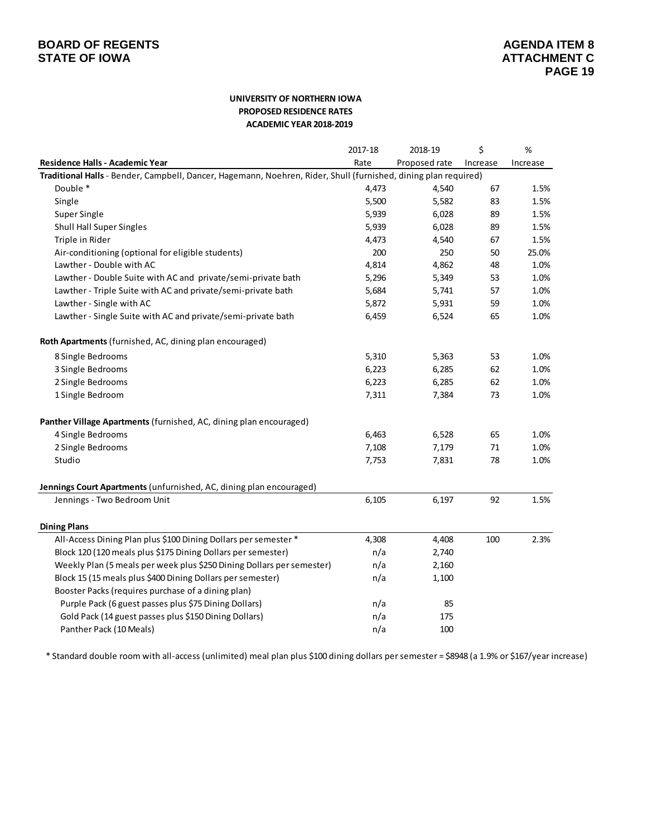#### **UNIVERSITY OF NORTHERN IOWA PROPOSED RESIDENCE RATES ACADEMIC YEAR 2018-2019**

|                                                                                                                 | 2017-18 | 2018-19       | \$       | %        |
|-----------------------------------------------------------------------------------------------------------------|---------|---------------|----------|----------|
| Residence Halls - Academic Year                                                                                 | Rate    | Proposed rate | Increase | Increase |
| Traditional Halls - Bender, Campbell, Dancer, Hagemann, Noehren, Rider, Shull (furnished, dining plan required) |         |               |          |          |
| Double *                                                                                                        | 4,473   | 4,540         | 67       | 1.5%     |
| Single                                                                                                          | 5,500   | 5,582         | 83       | 1.5%     |
| Super Single                                                                                                    | 5,939   | 6,028         | 89       | 1.5%     |
| <b>Shull Hall Super Singles</b>                                                                                 | 5,939   | 6,028         | 89       | 1.5%     |
| Triple in Rider                                                                                                 | 4,473   | 4,540         | 67       | 1.5%     |
| Air-conditioning (optional for eligible students)                                                               | 200     | 250           | 50       | 25.0%    |
| Lawther - Double with AC                                                                                        | 4,814   | 4,862         | 48       | 1.0%     |
| Lawther - Double Suite with AC and private/semi-private bath                                                    | 5,296   | 5,349         | 53       | 1.0%     |
| Lawther - Triple Suite with AC and private/semi-private bath                                                    | 5,684   | 5,741         | 57       | 1.0%     |
| Lawther - Single with AC                                                                                        | 5,872   | 5,931         | 59       | 1.0%     |
| Lawther - Single Suite with AC and private/semi-private bath                                                    | 6,459   | 6,524         | 65       | 1.0%     |
| Roth Apartments (furnished, AC, dining plan encouraged)                                                         |         |               |          |          |
| 8 Single Bedrooms                                                                                               | 5,310   | 5,363         | 53       | 1.0%     |
| 3 Single Bedrooms                                                                                               | 6,223   | 6,285         | 62       | 1.0%     |
| 2 Single Bedrooms                                                                                               | 6,223   | 6,285         | 62       | 1.0%     |
| 1 Single Bedroom                                                                                                | 7,311   | 7,384         | 73       | 1.0%     |
| Panther Village Apartments (furnished, AC, dining plan encouraged)                                              |         |               |          |          |
| 4 Single Bedrooms                                                                                               | 6,463   | 6,528         | 65       | 1.0%     |
| 2 Single Bedrooms                                                                                               | 7,108   | 7,179         | 71       | 1.0%     |
| Studio                                                                                                          | 7,753   | 7,831         | 78       | 1.0%     |
| Jennings Court Apartments (unfurnished, AC, dining plan encouraged)                                             |         |               |          |          |
| Jennings - Two Bedroom Unit                                                                                     | 6,105   | 6,197         | 92       | 1.5%     |
| <b>Dining Plans</b>                                                                                             |         |               |          |          |
| All-Access Dining Plan plus \$100 Dining Dollars per semester *                                                 | 4,308   | 4,408         | 100      | 2.3%     |
| Block 120 (120 meals plus \$175 Dining Dollars per semester)                                                    | n/a     | 2,740         |          |          |
| Weekly Plan (5 meals per week plus \$250 Dining Dollars per semester)                                           | n/a     | 2,160         |          |          |
| Block 15 (15 meals plus \$400 Dining Dollars per semester)                                                      | n/a     | 1,100         |          |          |
| Booster Packs (requires purchase of a dining plan)                                                              |         |               |          |          |
| Purple Pack (6 guest passes plus \$75 Dining Dollars)                                                           | n/a     | 85            |          |          |
| Gold Pack (14 guest passes plus \$150 Dining Dollars)                                                           | n/a     | 175           |          |          |
| Panther Pack (10 Meals)                                                                                         | n/a     | 100           |          |          |

\* Standard double room with all-access (unlimited) meal plan plus \$100 dining dollars per semester = \$8948 (a 1.9% or \$167/year increase)